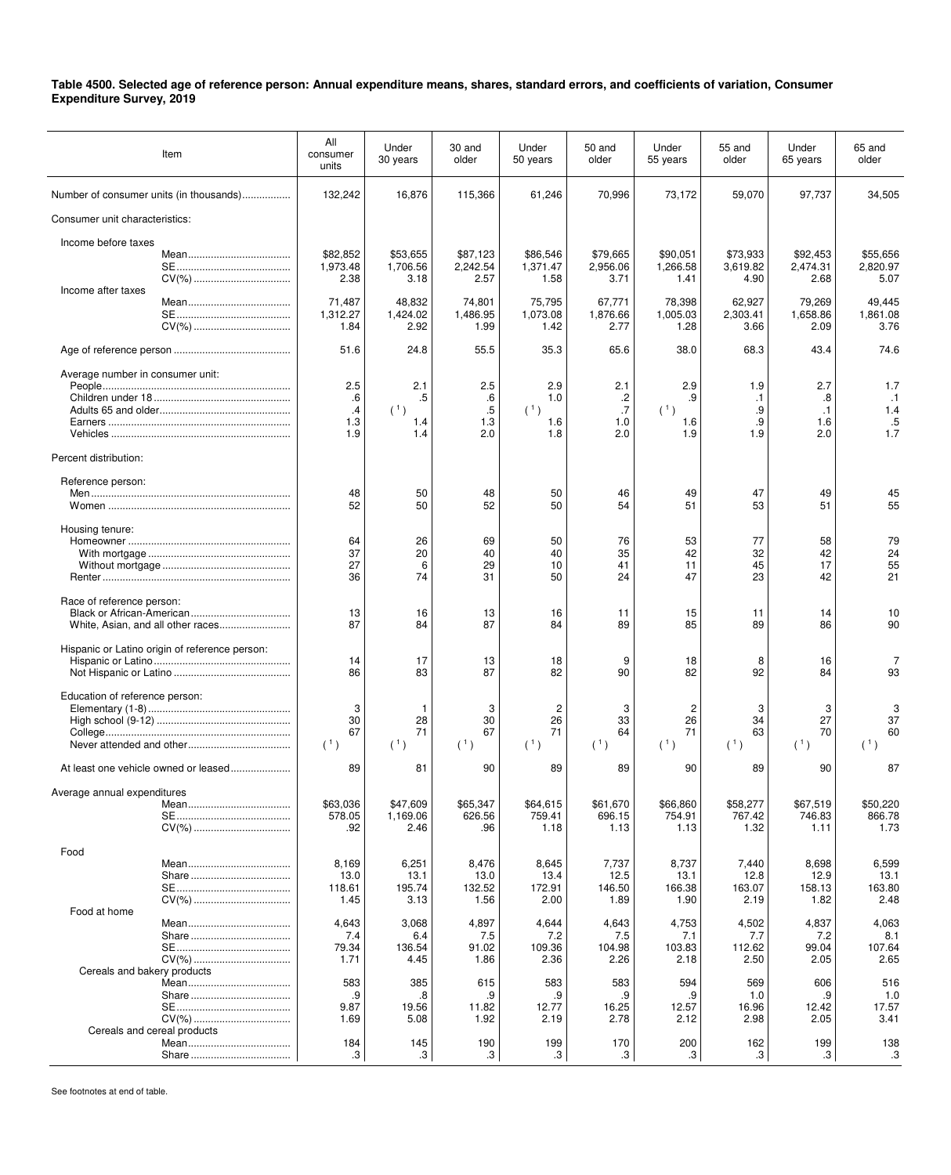| Item                                           | All<br>consumer<br>units           | Under<br>30 years               | 30 and<br>older                                               | Under<br>50 years                 | 50 and<br>older                 | Under<br>55 years                 | 55 and<br>older                     | Under<br>65 years                    | 65 and<br>older                      |
|------------------------------------------------|------------------------------------|---------------------------------|---------------------------------------------------------------|-----------------------------------|---------------------------------|-----------------------------------|-------------------------------------|--------------------------------------|--------------------------------------|
| Number of consumer units (in thousands)        | 132,242                            | 16,876                          | 115,366                                                       | 61,246                            | 70,996                          | 73,172                            | 59,070                              | 97,737                               | 34,505                               |
| Consumer unit characteristics:                 |                                    |                                 |                                                               |                                   |                                 |                                   |                                     |                                      |                                      |
| Income before taxes<br>CV(%)                   | \$82,852<br>1,973.48<br>2.38       | \$53,655<br>1,706.56<br>3.18    | \$87,123<br>2,242.54<br>2.57                                  | \$86,546<br>1,371.47<br>1.58      | \$79,665<br>2,956.06<br>3.71    | \$90,051<br>1,266.58<br>1.41      | \$73,933<br>3,619.82<br>4.90        | \$92,453<br>2,474.31<br>2.68         | \$55,656<br>2,820.97<br>5.07         |
| Income after taxes                             | 71,487<br>1,312.27<br>1.84         | 48,832<br>1,424.02<br>2.92      | 74,801<br>1,486.95<br>1.99                                    | 75,795<br>1,073.08<br>1.42        | 67,771<br>1,876.66<br>2.77      | 78,398<br>1,005.03<br>1.28        | 62,927<br>2,303.41<br>3.66          | 79,269<br>1,658.86<br>2.09           | 49,445<br>1.861.08<br>3.76           |
|                                                | 51.6                               | 24.8                            | 55.5                                                          | 35.3                              | 65.6                            | 38.0                              | 68.3                                | 43.4                                 | 74.6                                 |
| Average number in consumer unit:               | 2.5<br>.6<br>$\cdot$<br>1.3<br>1.9 | 2.1<br>.5<br>(1)<br>1.4<br>1.4  | 2.5<br>.6<br>$.5\,$<br>1.3<br>2.0                             | 2.9<br>1.0<br>(1)<br>1.6<br>1.8   | 2.1<br>.2<br>.7<br>1.0<br>2.0   | 2.9<br>.9<br>(1)<br>1.6<br>1.9    | 1.9<br>$\cdot$ 1<br>.9<br>.9<br>1.9 | 2.7<br>.8<br>$\cdot$ 1<br>1.6<br>2.0 | 1.7<br>$\cdot$ 1<br>1.4<br>.5<br>1.7 |
| Percent distribution:                          |                                    |                                 |                                                               |                                   |                                 |                                   |                                     |                                      |                                      |
| Reference person:                              | 48<br>52                           | 50<br>50                        | 48<br>52                                                      | 50<br>50                          | 46<br>54                        | 49<br>51                          | 47<br>53                            | 49<br>51                             | 45<br>55                             |
| Housing tenure:                                | 64<br>37<br>27<br>36               | 26<br>20<br>6<br>74             | 69<br>40<br>29<br>31                                          | 50<br>40<br>10<br>50              | 76<br>35<br>41<br>24            | 53<br>42<br>11<br>47              | 77<br>32<br>45<br>23                | 58<br>42<br>17<br>42                 | 79<br>24<br>55<br>21                 |
| Race of reference person:                      | 13<br>87                           | 16<br>84                        | 13<br>87                                                      | 16<br>84                          | 11<br>89                        | 15<br>85                          | 11<br>89                            | 14<br>86                             | 10<br>90                             |
| Hispanic or Latino origin of reference person: | 14<br>86                           | 17<br>83                        | 13<br>87                                                      | 18<br>82                          | 9<br>90                         | 18<br>82                          | 8<br>92                             | 16<br>84                             | 7<br>93                              |
| Education of reference person:                 | 3<br>30<br>67<br>(1)               | 1<br>28<br>71<br>(1)            | 3<br>30<br>67<br>$(\begin{smallmatrix}1\\1\end{smallmatrix})$ | $\overline{c}$<br>26<br>71<br>(1) | 3<br>33<br>64<br>(1)            | $\overline{c}$<br>26<br>71<br>(1) | 3<br>34<br>63<br>(1)                | 3<br>27<br>70<br>(1)                 | 3<br>37<br>60<br>(1)                 |
| At least one vehicle owned or leased           | 89                                 | 81                              | 90                                                            | 89                                | 89                              | 90                                | 89                                  | 90                                   | 87                                   |
| Average annual expenditures                    | \$63,036<br>578.05<br>.92          | \$47,609<br>1,169.06<br>2.46    | \$65,347<br>626.56<br>.96                                     | \$64,615<br>759.41<br>1.18        | \$61,670<br>696.15<br>1.13      | \$66,860<br>754.91<br>1.13        | \$58,277<br>767.42<br>1.32          | \$67,519<br>746.83<br>1.11           | \$50,220<br>866.78<br>1.73           |
| Food<br>CV(%)                                  | 8,169<br>13.0<br>118.61<br>1.45    | 6,251<br>13.1<br>195.74<br>3.13 | 8,476<br>13.0<br>132.52<br>1.56                               | 8,645<br>13.4<br>172.91<br>2.00   | 7,737<br>12.5<br>146.50<br>1.89 | 8,737<br>13.1<br>166.38<br>1.90   | 7,440<br>12.8<br>163.07<br>2.19     | 8,698<br>12.9<br>158.13<br>1.82      | 6,599<br>13.1<br>163.80<br>2.48      |
| Food at home                                   | 4,643<br>7.4<br>79.34<br>1.71      | 3,068<br>6.4<br>136.54<br>4.45  | 4,897<br>7.5<br>91.02<br>1.86                                 | 4,644<br>7.2<br>109.36<br>2.36    | 4,643<br>7.5<br>104.98<br>2.26  | 4,753<br>7.1<br>103.83<br>2.18    | 4,502<br>7.7<br>112.62<br>2.50      | 4,837<br>7.2<br>99.04<br>2.05        | 4,063<br>8.1<br>107.64<br>2.65       |
| Cereals and bakery products                    | 583<br>.9<br>9.87<br>1.69          | 385<br>.8<br>19.56<br>5.08      | 615<br>.9<br>11.82<br>1.92                                    | 583<br>.9<br>12.77<br>2.19        | 583<br>.9<br>16.25<br>2.78      | 594<br>.9<br>12.57<br>2.12        | 569<br>1.0<br>16.96<br>2.98         | 606<br>.9<br>12.42<br>2.05           | 516<br>1.0<br>17.57<br>3.41          |
| Cereals and cereal products                    | 184<br>.3                          | 145<br>.3                       | 190<br>.3                                                     | 199<br>.3                         | 170<br>.3                       | 200<br>.3                         | 162<br>.3                           | 199<br>.3                            | 138<br>.3                            |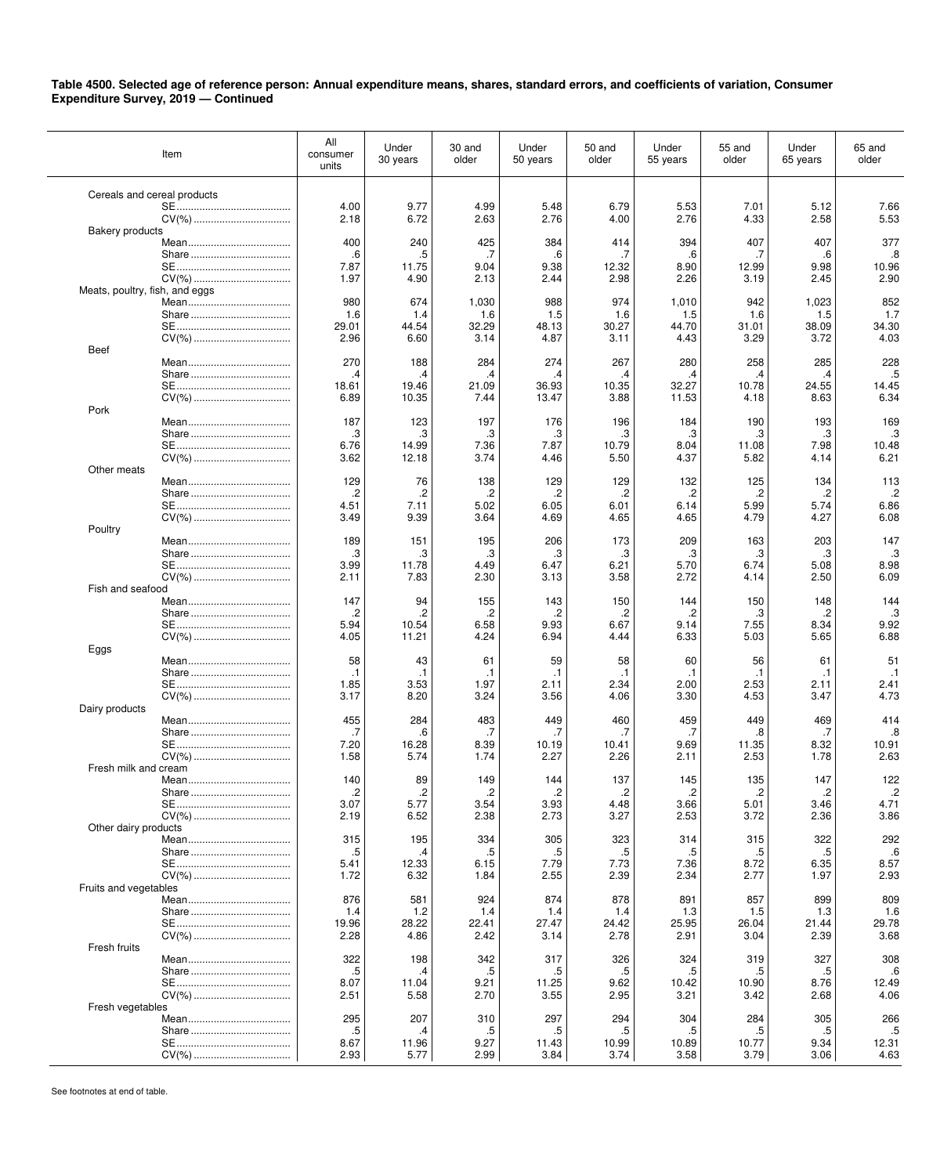| Item                           | All<br>consumer<br>units | Under<br>30 years      | 30 and<br>older        | Under<br>50 years | 50 and<br>older        | Under<br>55 years      | 55 and<br>older | Under<br>65 years | 65 and<br>older        |
|--------------------------------|--------------------------|------------------------|------------------------|-------------------|------------------------|------------------------|-----------------|-------------------|------------------------|
| Cereals and cereal products    |                          |                        |                        |                   |                        |                        |                 |                   |                        |
|                                | 4.00                     | 9.77                   | 4.99                   | 5.48              | 6.79                   | 5.53                   | 7.01            | 5.12              | 7.66<br>5.53           |
| <b>Bakery products</b>         | 2.18                     | 6.72                   | 2.63                   | 2.76              | 4.00                   | 2.76                   | 4.33            | 2.58              |                        |
|                                | 400                      | 240                    | 425                    | 384               | 414                    | 394                    | 407             | 407               | 377                    |
|                                | .6<br>7.87               | .5<br>11.75            | .7<br>9.04             | .6<br>9.38        | .7<br>12.32            | .6<br>8.90             | .7<br>12.99     | .6<br>9.98        | .8<br>10.96            |
|                                | 1.97                     | 4.90                   | 2.13                   | 2.44              | 2.98                   | 2.26                   | 3.19            | 2.45              | 2.90                   |
| Meats, poultry, fish, and eggs | 980                      | 674                    | 1,030                  | 988               | 974                    | 1,010                  | 942             | 1,023             | 852                    |
|                                | 1.6                      | 1.4                    | 1.6                    | 1.5               | 1.6                    | 1.5                    | 1.6             | 1.5               | 1.7                    |
|                                | 29.01                    | 44.54                  | 32.29<br>3.14          | 48.13             | 30.27                  | 44.70                  | 31.01           | 38.09             | 34.30<br>4.03          |
| CV(%)<br>Beef                  | 2.96                     | 6.60                   |                        | 4.87              | 3.11                   | 4.43                   | 3.29            | 3.72              |                        |
|                                | 270                      | 188                    | 284                    | 274               | 267                    | 280                    | 258             | 285               | 228                    |
|                                | .4<br>18.61              | .4<br>19.46            | .4<br>21.09            | .4<br>36.93       | .4<br>10.35            | .4<br>32.27            | .4<br>10.78     | .4<br>24.55       | .5<br>14.45            |
|                                | 6.89                     | 10.35                  | 7.44                   | 13.47             | 3.88                   | 11.53                  | 4.18            | 8.63              | 6.34                   |
| Pork<br>Mean                   | 187                      | 123                    | 197                    | 176               | 196                    | 184                    | 190             | 193               | 169                    |
|                                | .3                       | .3                     | .3                     | .3                | .3                     | .3                     | .3              | .3                | .3                     |
|                                | 6.76<br>3.62             | 14.99<br>12.18         | 7.36<br>3.74           | 7.87<br>4.46      | 10.79<br>5.50          | 8.04<br>4.37           | 11.08<br>5.82   | 7.98<br>4.14      | 10.48<br>6.21          |
| Other meats                    |                          |                        |                        |                   |                        |                        |                 |                   |                        |
|                                | 129<br>.2                | 76<br>.2               | 138<br>.2              | 129<br>.2         | 129                    | 132<br>.2              | 125<br>$\cdot$  | 134<br>.2         | 113<br>$\cdot$         |
|                                | 4.51                     | 7.11                   | 5.02                   | 6.05              | .2<br>6.01             | 6.14                   | 5.99            | 5.74              | 6.86                   |
|                                | 3.49                     | 9.39                   | 3.64                   | 4.69              | 4.65                   | 4.65                   | 4.79            | 4.27              | 6.08                   |
| Poultry                        | 189                      | 151                    | 195                    | 206               | 173                    | 209                    | 163             | 203               | 147                    |
|                                | .3                       | .3                     | .3                     | .3                | .3                     | .3                     | .3              | .3                | .3                     |
|                                | 3.99<br>2.11             | 11.78<br>7.83          | 4.49<br>2.30           | 6.47<br>3.13      | 6.21<br>3.58           | 5.70<br>2.72           | 6.74<br>4.14    | 5.08<br>2.50      | 8.98<br>6.09           |
| Fish and seafood               |                          |                        |                        |                   |                        |                        |                 |                   |                        |
|                                | 147<br>.2                | 94<br>.2               | 155<br>.2              | 143<br>.2         | 150<br>.2              | 144<br>.2              | 150<br>.3       | 148<br>.2         | 144<br>.3              |
|                                | 5.94                     | 10.54                  | 6.58                   | 9.93              | 6.67                   | 9.14                   | 7.55            | 8.34              | 9.92                   |
| CV(%)<br>Eggs                  | 4.05                     | 11.21                  | 4.24                   | 6.94              | 4.44                   | 6.33                   | 5.03            | 5.65              | 6.88                   |
|                                | 58                       | 43                     | 61                     | 59                | 58                     | 60                     | 56              | 61                | 51                     |
|                                | $\cdot$ 1<br>1.85        | .1<br>3.53             | .1<br>1.97             | .1<br>2.11        | $\cdot$ 1<br>2.34      | $\cdot$ 1<br>2.00      | .1<br>2.53      | .1<br>2.11        | $\cdot$ 1<br>2.41      |
|                                | 3.17                     | 8.20                   | 3.24                   | 3.56              | 4.06                   | 3.30                   | 4.53            | 3.47              | 4.73                   |
| Dairy products                 | 455                      | 284                    | 483                    | 449               | 460                    | 459                    | 449             | 469               | 414                    |
|                                | .7                       | .6                     | .7                     | .7                | .7                     | .7                     | .8              | .7                | .8                     |
|                                | 7.20                     | 16.28                  | 8.39                   | 10.19             | 10.41                  | 9.69                   | 11.35           | 8.32              | 10.91                  |
| Fresh milk and cream           | 1.58                     | 5.74                   | 1.74                   | 2.27              | 2.26                   | 2.11                   | 2.53            | 1.78              | 2.63                   |
|                                | 140                      | 89                     | 149                    | 144               | 137                    | 145                    | 135             | 147               | 122                    |
|                                | $\overline{c}$<br>3.07   | $\overline{c}$<br>5.77 | $\overline{c}$<br>3.54 | 2.<br>3.93        | $\overline{c}$<br>4.48 | $\overline{c}$<br>3.66 | .2<br>5.01      | .2<br>3.46        | $\overline{c}$<br>4.71 |
|                                | 2.19                     | 6.52                   | 2.38                   | 2.73              | 3.27                   | 2.53                   | 3.72            | 2.36              | 3.86                   |
| Other dairy products           | 315                      | 195                    | 334                    | 305               | 323                    | 314                    | 315             | 322               | 292                    |
|                                | .5                       | .4                     | .5                     | .5                | .5                     | .5                     | .5              | .5                | .6                     |
|                                | 5.41<br>1.72             | 12.33<br>6.32          | 6.15<br>1.84           | 7.79<br>2.55      | 7.73<br>2.39           | 7.36<br>2.34           | 8.72<br>2.77    | 6.35<br>1.97      | 8.57<br>2.93           |
| Fruits and vegetables          |                          |                        |                        |                   |                        |                        |                 |                   |                        |
|                                | 876                      | 581                    | 924                    | 874               | 878                    | 891                    | 857             | 899               | 809                    |
|                                | 1.4<br>19.96             | 1.2<br>28.22           | 1.4<br>22.41           | 1.4<br>27.47      | 1.4<br>24.42           | 1.3<br>25.95           | 1.5<br>26.04    | 1.3<br>21.44      | 1.6<br>29.78           |
|                                | 2.28                     | 4.86                   | 2.42                   | 3.14              | 2.78                   | 2.91                   | 3.04            | 2.39              | 3.68                   |
| Fresh fruits                   | 322                      | 198                    | 342                    | 317               | 326                    | 324                    | 319             | 327               | 308                    |
|                                | $.5\,$                   | .4                     | $.5\,$                 | .5                | .5                     | .5                     | .5              | .5                | .6                     |
|                                | 8.07<br>2.51             | 11.04<br>5.58          | 9.21<br>2.70           | 11.25<br>3.55     | 9.62<br>2.95           | 10.42<br>3.21          | 10.90<br>3.42   | 8.76<br>2.68      | 12.49<br>4.06          |
| Fresh vegetables               |                          |                        |                        |                   |                        |                        |                 |                   |                        |
|                                | 295<br>.5                | 207<br>.4              | 310<br>.5              | 297<br>.5         | 294<br>.5              | 304<br>.5              | 284<br>.5       | 305<br>.5         | 266<br>.5              |
|                                | 8.67                     | 11.96                  | 9.27                   | 11.43             | 10.99                  | 10.89                  | 10.77           | 9.34              | 12.31                  |
|                                | 2.93                     | 5.77                   | 2.99                   | 3.84              | 3.74                   | 3.58                   | 3.79            | 3.06              | 4.63                   |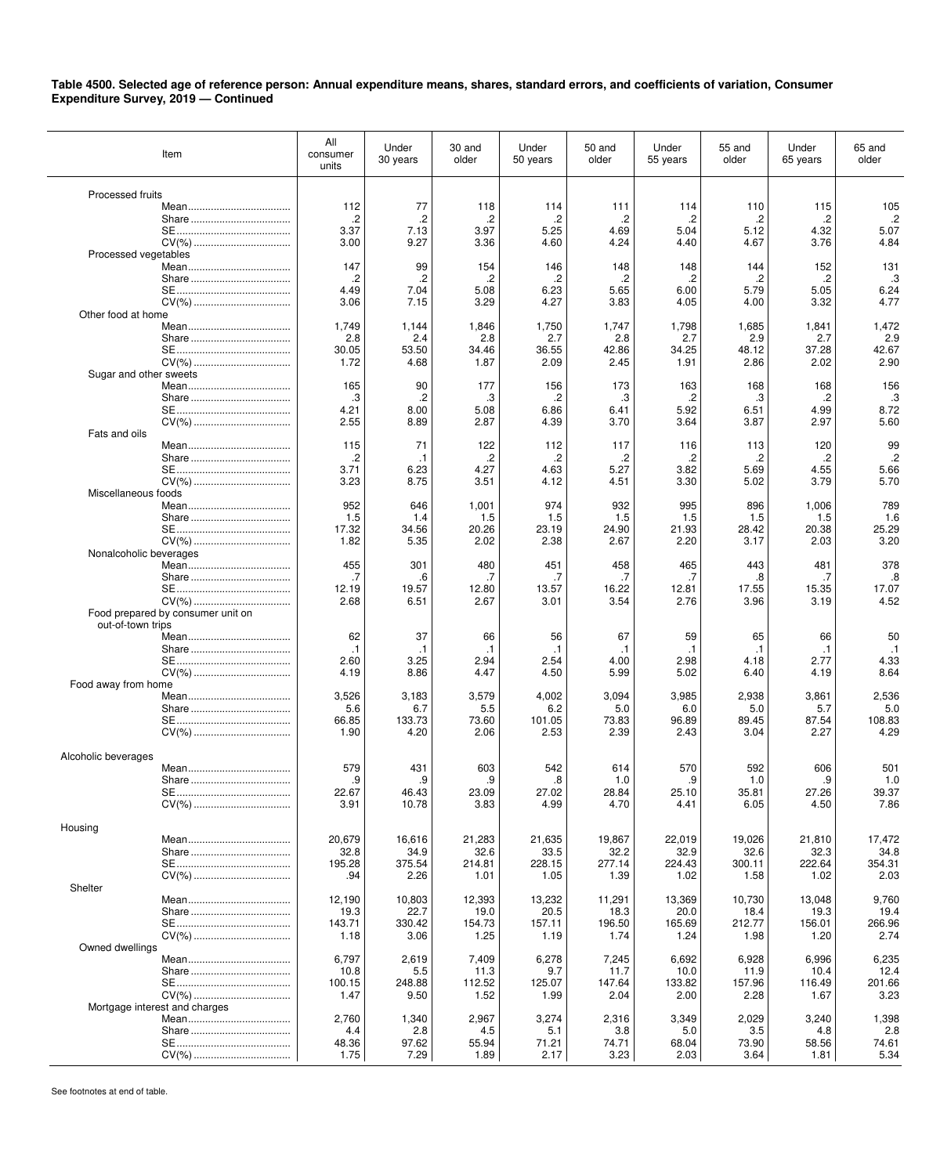| Item                              | All<br>consumer<br>units | Under<br>30 years | 30 and<br>older   | Under<br>50 years | 50 and<br>older   | Under<br>55 years | 55 and<br>older   | Under<br>65 years | 65 and<br>older   |
|-----------------------------------|--------------------------|-------------------|-------------------|-------------------|-------------------|-------------------|-------------------|-------------------|-------------------|
|                                   |                          |                   |                   |                   |                   |                   |                   |                   |                   |
| Processed fruits                  | 112                      | 77                | 118               | 114               | 111               | 114               | 110               | 115               | 105               |
|                                   | .2                       | $\cdot$           | $\overline{c}$    | .2                | .2                | $\cdot$           | .2                | .2                | $\cdot$           |
|                                   | 3.37                     | 7.13              | 3.97              | 5.25              | 4.69              | 5.04              | 5.12              | 4.32              | 5.07              |
| CV(%)                             | 3.00                     | 9.27              | 3.36              | 4.60              | 4.24              | 4.40              | 4.67              | 3.76              | 4.84              |
| Processed vegetables              |                          |                   |                   |                   |                   |                   |                   |                   |                   |
|                                   | 147                      | 99                | 154               | 146               | 148               | 148               | 144               | 152               | 131               |
|                                   | $\cdot$<br>4.49          | $\cdot$<br>7.04   | $\cdot$<br>5.08   | .2                | $\cdot$<br>5.65   | $\cdot$<br>6.00   | .2<br>5.79        | $\cdot$<br>5.05   | .3<br>6.24        |
|                                   | 3.06                     | 7.15              | 3.29              | 6.23<br>4.27      | 3.83              | 4.05              | 4.00              | 3.32              | 4.77              |
| Other food at home                |                          |                   |                   |                   |                   |                   |                   |                   |                   |
| Mean                              | 1,749                    | 1,144             | 1,846             | 1,750             | 1,747             | 1,798             | 1,685             | 1,841             | 1,472             |
|                                   | 2.8                      | 2.4               | 2.8               | 2.7               | 2.8               | 2.7               | 2.9               | 2.7               | 2.9               |
|                                   | 30.05                    | 53.50             | 34.46             | 36.55             | 42.86             | 34.25             | 48.12             | 37.28             | 42.67             |
|                                   | 1.72                     | 4.68              | 1.87              | 2.09              | 2.45              | 1.91              | 2.86              | 2.02              | 2.90              |
| Sugar and other sweets            | 165                      | 90                | 177               | 156               | 173               | 163               | 168               | 168               | 156               |
|                                   | .3                       | $\cdot$           | .3                | .2                | .3                | .2                | .3                | .2                | .3                |
|                                   | 4.21                     | 8.00              | 5.08              | 6.86              | 6.41              | 5.92              | 6.51              | 4.99              | 8.72              |
|                                   | 2.55                     | 8.89              | 2.87              | 4.39              | 3.70              | 3.64              | 3.87              | 2.97              | 5.60              |
| Fats and oils                     |                          |                   |                   |                   |                   |                   |                   |                   |                   |
|                                   | 115                      | 71                | 122               | 112               | 117               | 116               | 113               | 120               | 99                |
|                                   | .2                       | .1                | .2                | .2                | .2                | .2                | .2                | .2                | $\cdot$           |
|                                   | 3.71<br>3.23             | 6.23<br>8.75      | 4.27<br>3.51      | 4.63<br>4.12      | 5.27<br>4.51      | 3.82<br>3.30      | 5.69<br>5.02      | 4.55<br>3.79      | 5.66<br>5.70      |
| Miscellaneous foods               |                          |                   |                   |                   |                   |                   |                   |                   |                   |
|                                   | 952                      | 646               | 1,001             | 974               | 932               | 995               | 896               | 1,006             | 789               |
|                                   | 1.5                      | 1.4               | 1.5               | 1.5               | 1.5               | 1.5               | 1.5               | 1.5               | 1.6               |
|                                   | 17.32                    | 34.56             | 20.26             | 23.19             | 24.90             | 21.93             | 28.42             | 20.38             | 25.29             |
|                                   | 1.82                     | 5.35              | 2.02              | 2.38              | 2.67              | 2.20              | 3.17              | 2.03              | 3.20              |
| Nonalcoholic beverages            |                          |                   |                   |                   |                   |                   |                   |                   |                   |
| Share                             | 455<br>.7                | 301<br>.6         | 480<br>.7         | 451<br>.7         | 458<br>.7         | 465<br>.7         | 443<br>.8         | 481<br>.7         | 378<br>.8         |
|                                   | 12.19                    | 19.57             | 12.80             | 13.57             | 16.22             | 12.81             | 17.55             | 15.35             | 17.07             |
| CV(%)                             | 2.68                     | 6.51              | 2.67              | 3.01              | 3.54              | 2.76              | 3.96              | 3.19              | 4.52              |
| Food prepared by consumer unit on |                          |                   |                   |                   |                   |                   |                   |                   |                   |
| out-of-town trips                 |                          |                   |                   |                   |                   |                   |                   |                   |                   |
| Mean                              | 62                       | 37                | 66                | 56                | 67                | 59                | 65                | 66                | 50                |
|                                   | $\cdot$ 1<br>2.60        | $\cdot$ 1<br>3.25 | $\cdot$ 1<br>2.94 | $\cdot$ 1<br>2.54 | $\cdot$ 1<br>4.00 | $\cdot$ 1<br>2.98 | $\cdot$ 1<br>4.18 | $\cdot$ 1<br>2.77 | $\cdot$ 1<br>4.33 |
|                                   | 4.19                     | 8.86              | 4.47              | 4.50              | 5.99              | 5.02              | 6.40              | 4.19              | 8.64              |
| Food away from home               |                          |                   |                   |                   |                   |                   |                   |                   |                   |
|                                   | 3,526                    | 3,183             | 3,579             | 4,002             | 3,094             | 3,985             | 2,938             | 3,861             | 2,536             |
|                                   | 5.6                      | 6.7               | 5.5               | 6.2               | 5.0               | 6.0               | 5.0               | 5.7               | 5.0               |
|                                   | 66.85                    | 133.73            | 73.60             | 101.05            | 73.83             | 96.89             | 89.45             | 87.54             | 108.83            |
| CV(%)                             | 1.90                     | 4.20              | 2.06              | 2.53              | 2.39              | 2.43              | 3.04              | 2.27              | 4.29              |
| Alcoholic beverages               |                          |                   |                   |                   |                   |                   |                   |                   |                   |
|                                   | 579                      | 431               | 603               | 542               | 614               | 570               | 592               | 606               | 501               |
|                                   | .9                       | .9                | .9                | .8                | 1.0               | .9                | 1.0               | .9                | 1.0               |
|                                   | 22.67                    | 46.43             | 23.09             | 27.02             | 28.84             | 25.10             | 35.81             | 27.26             | 39.37             |
|                                   | 3.91                     | 10.78             | 3.83              | 4.99              | 4.70              | 4.41              | 6.05              | 4.50              | 7.86              |
|                                   |                          |                   |                   |                   |                   |                   |                   |                   |                   |
| Housing                           | 20,679                   | 16,616            | 21,283            | 21,635            | 19,867            | 22,019            | 19,026            | 21,810            | 17,472            |
|                                   | 32.8                     | 34.9              | 32.6              | 33.5              | 32.2              | 32.9              | 32.6              | 32.3              | 34.8              |
|                                   | 195.28                   | 375.54            | 214.81            | 228.15            | 277.14            | 224.43            | 300.11            | 222.64            | 354.31            |
|                                   | .94                      | 2.26              | 1.01              | 1.05              | 1.39              | 1.02              | 1.58              | 1.02              | 2.03              |
| Shelter                           |                          |                   |                   |                   |                   |                   |                   |                   |                   |
|                                   | 12,190                   | 10,803            | 12,393            | 13,232            | 11,291            | 13,369            | 10,730            | 13,048            | 9,760             |
|                                   | 19.3                     | 22.7              | 19.0              | 20.5              | 18.3              | 20.0              | 18.4              | 19.3              | 19.4              |
|                                   | 143.71<br>1.18           | 330.42<br>3.06    | 154.73<br>1.25    | 157.11<br>1.19    | 196.50<br>1.74    | 165.69<br>1.24    | 212.77<br>1.98    | 156.01<br>1.20    | 266.96<br>2.74    |
| Owned dwellings                   |                          |                   |                   |                   |                   |                   |                   |                   |                   |
|                                   | 6,797                    | 2,619             | 7,409             | 6,278             | 7,245             | 6,692             | 6,928             | 6,996             | 6,235             |
|                                   | 10.8                     | 5.5               | 11.3              | 9.7               | 11.7              | 10.0              | 11.9              | 10.4              | 12.4              |
|                                   | 100.15                   | 248.88            | 112.52            | 125.07            | 147.64            | 133.82            | 157.96            | 116.49            | 201.66            |
|                                   | 1.47                     | 9.50              | 1.52              | 1.99              | 2.04              | 2.00              | 2.28              | 1.67              | 3.23              |
| Mortgage interest and charges     | 2,760                    | 1,340             | 2,967             | 3,274             | 2,316             | 3,349             | 2,029             | 3,240             | 1,398             |
|                                   | 4.4                      | 2.8               | 4.5               | 5.1               | 3.8               | 5.0               | 3.5               | 4.8               | 2.8               |
|                                   | 48.36                    | 97.62             | 55.94             | 71.21             | 74.71             | 68.04             | 73.90             | 58.56             | 74.61             |
|                                   | 1.75                     | 7.29              | 1.89              | 2.17              | 3.23              | 2.03              | 3.64              | 1.81              | 5.34              |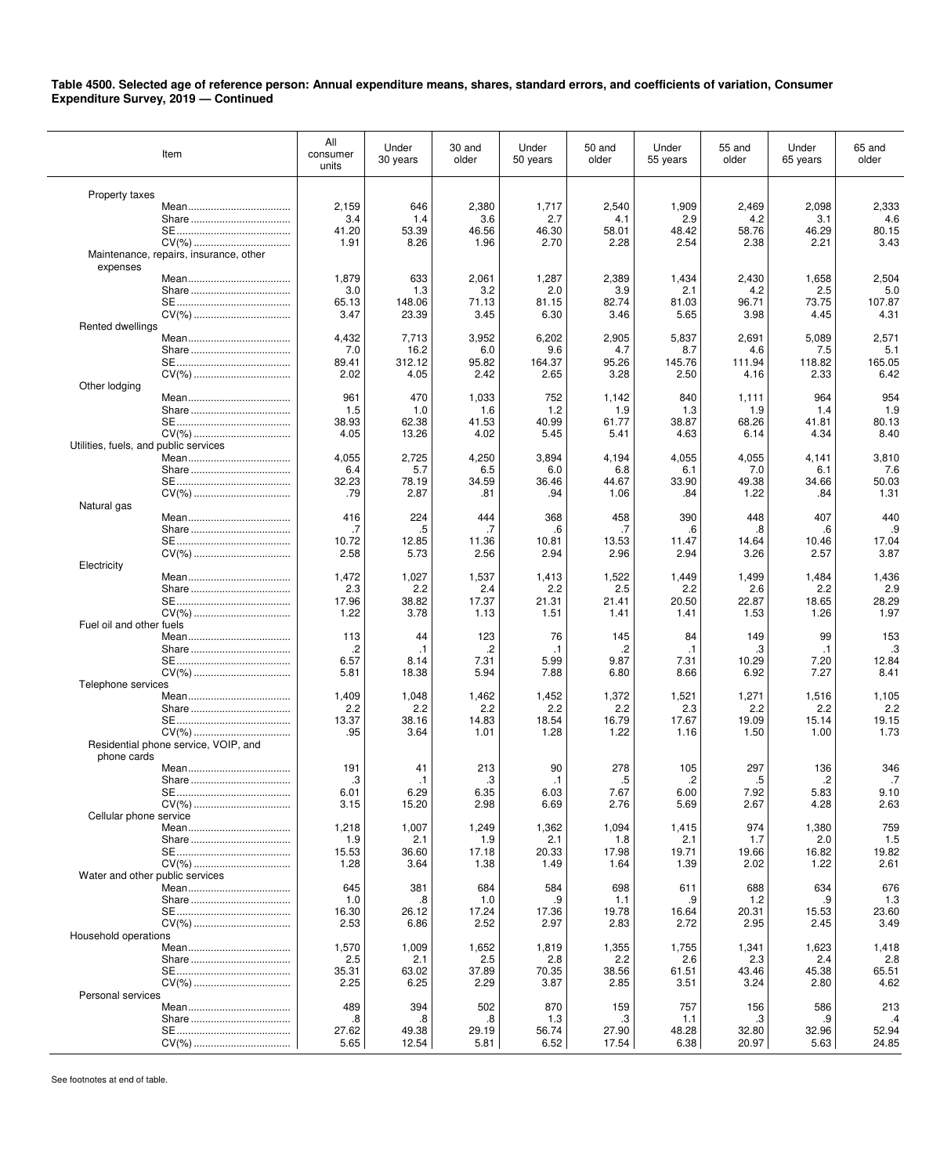| Item                                               | All<br>consumer<br>units | Under<br>30 years | 30 and<br>older | Under<br>50 years | 50 and<br>older | Under<br>55 years | 55 and<br>older | Under<br>65 years | 65 and<br>older |
|----------------------------------------------------|--------------------------|-------------------|-----------------|-------------------|-----------------|-------------------|-----------------|-------------------|-----------------|
|                                                    |                          |                   |                 |                   |                 |                   |                 |                   |                 |
| Property taxes                                     | 2,159                    | 646               | 2,380           | 1,717             | 2,540           | 1,909             | 2,469           | 2,098             | 2,333           |
|                                                    | 3.4                      | 1.4               | 3.6             | 2.7               | 4.1             | 2.9               | 4.2             | 3.1               | 4.6             |
|                                                    | 41.20                    | 53.39             | 46.56           | 46.30             | 58.01           | 48.42             | 58.76           | 46.29             | 80.15           |
|                                                    | 1.91                     | 8.26              | 1.96            | 2.70              | 2.28            | 2.54              | 2.38            | 2.21              | 3.43            |
| Maintenance, repairs, insurance, other<br>expenses |                          |                   |                 |                   |                 |                   |                 |                   |                 |
|                                                    | 1,879                    | 633               | 2,061           | 1,287             | 2,389           | 1,434             | 2,430           | 1,658             | 2,504           |
|                                                    | 3.0                      | 1.3               | 3.2             | 2.0               | 3.9             | 2.1               | 4.2             | 2.5               | 5.0             |
|                                                    | 65.13                    | 148.06            | 71.13           | 81.15             | 82.74           | 81.03             | 96.71           | 73.75             | 107.87          |
|                                                    | 3.47                     | 23.39             | 3.45            | 6.30              | 3.46            | 5.65              | 3.98            | 4.45              | 4.31            |
| Rented dwellings                                   | 4,432                    | 7,713             | 3,952           | 6,202             | 2,905           | 5,837             | 2,691           | 5,089             | 2,571           |
|                                                    | 7.0                      | 16.2              | 6.0             | 9.6               | 4.7             | 8.7               | 4.6             | 7.5               | 5.1             |
|                                                    | 89.41                    | 312.12            | 95.82           | 164.37            | 95.26           | 145.76            | 111.94          | 118.82            | 165.05          |
|                                                    | 2.02                     | 4.05              | 2.42            | 2.65              | 3.28            | 2.50              | 4.16            | 2.33              | 6.42            |
| Other lodging                                      |                          |                   |                 |                   |                 |                   |                 |                   |                 |
|                                                    | 961<br>1.5               | 470<br>1.0        | 1,033<br>1.6    | 752<br>1.2        | 1,142<br>1.9    | 840<br>1.3        | 1,111<br>1.9    | 964<br>1.4        | 954<br>1.9      |
|                                                    | 38.93                    | 62.38             | 41.53           | 40.99             | 61.77           | 38.87             | 68.26           | 41.81             | 80.13           |
|                                                    | 4.05                     | 13.26             | 4.02            | 5.45              | 5.41            | 4.63              | 6.14            | 4.34              | 8.40            |
| Utilities, fuels, and public services              |                          |                   |                 |                   |                 |                   |                 |                   |                 |
|                                                    | 4,055                    | 2,725             | 4,250           | 3,894             | 4,194           | 4,055             | 4,055           | 4,141             | 3,810           |
|                                                    | 6.4<br>32.23             | 5.7               | 6.5             | 6.0<br>36.46      | 6.8<br>44.67    | 6.1<br>33.90      | 7.0<br>49.38    | 6.1<br>34.66      | 7.6<br>50.03    |
| CV(%)                                              | .79                      | 78.19<br>2.87     | 34.59<br>.81    | .94               | 1.06            | .84               | 1.22            | .84               | 1.31            |
| Natural gas                                        |                          |                   |                 |                   |                 |                   |                 |                   |                 |
|                                                    | 416                      | 224               | 444             | 368               | 458             | 390               | 448             | 407               | 440             |
|                                                    | .7                       | .5                | .7              | .6                | .7              | .6                | .8              | .6                | .9              |
|                                                    | 10.72                    | 12.85             | 11.36           | 10.81             | 13.53           | 11.47             | 14.64           | 10.46             | 17.04<br>3.87   |
| Electricity                                        | 2.58                     | 5.73              | 2.56            | 2.94              | 2.96            | 2.94              | 3.26            | 2.57              |                 |
|                                                    | 1,472                    | 1,027             | 1,537           | 1,413             | 1,522           | 1,449             | 1,499           | 1,484             | 1,436           |
|                                                    | 2.3                      | 2.2               | 2.4             | 2.2               | 2.5             | 2.2               | 2.6             | 2.2               | 2.9             |
|                                                    | 17.96                    | 38.82             | 17.37           | 21.31             | 21.41           | 20.50             | 22.87           | 18.65             | 28.29           |
|                                                    | 1.22                     | 3.78              | 1.13            | 1.51              | 1.41            | 1.41              | 1.53            | 1.26              | 1.97            |
| Fuel oil and other fuels                           | 113                      | 44                | 123             | 76                | 145             | 84                | 149             | 99                | 153             |
|                                                    | .2                       | $\cdot$ 1         | .2              | $\cdot$ 1         | .2              | $\cdot$ 1         | .3              | $\cdot$ 1         | .3              |
|                                                    | 6.57                     | 8.14              | 7.31            | 5.99              | 9.87            | 7.31              | 10.29           | 7.20              | 12.84           |
|                                                    | 5.81                     | 18.38             | 5.94            | 7.88              | 6.80            | 8.66              | 6.92            | 7.27              | 8.41            |
| Telephone services                                 | 1,409                    | 1,048             |                 |                   | 1,372           |                   |                 |                   |                 |
|                                                    | 2.2                      | 2.2               | 1,462<br>2.2    | 1,452<br>2.2      | 2.2             | 1,521<br>2.3      | 1,271<br>2.2    | 1,516<br>2.2      | 1,105<br>2.2    |
|                                                    | 13.37                    | 38.16             | 14.83           | 18.54             | 16.79           | 17.67             | 19.09           | 15.14             | 19.15           |
|                                                    | .95                      | 3.64              | 1.01            | 1.28              | 1.22            | 1.16              | 1.50            | 1.00              | 1.73            |
| Residential phone service, VOIP, and               |                          |                   |                 |                   |                 |                   |                 |                   |                 |
| phone cards                                        | 191                      | 41                | 213             | 90                | 278             | 105               | 297             | 136               | 346             |
|                                                    | .3                       | .1                | .3              | $\cdot$ 1         | .5              | .2                | .5              | .2                | .7              |
|                                                    | 6.01                     | 6.29              | 6.35            | 6.03              | 7.67            | 6.00              | 7.92            | 5.83              | 9.10            |
|                                                    | 3.15                     | 15.20             | 2.98            | 6.69              | 2.76            | 5.69              | 2.67            | 4.28              | 2.63            |
| Cellular phone service                             |                          |                   |                 |                   |                 |                   |                 |                   |                 |
|                                                    | 1,218<br>1.9             | 1,007<br>2.1      | 1,249<br>1.9    | 1,362<br>2.1      | 1,094<br>1.8    | 1,415<br>2.1      | 974<br>1.7      | 1,380<br>2.0      | 759<br>1.5      |
|                                                    | 15.53                    | 36.60             | 17.18           | 20.33             | 17.98           | 19.71             | 19.66           | 16.82             | 19.82           |
|                                                    | 1.28                     | 3.64              | 1.38            | 1.49              | 1.64            | 1.39              | 2.02            | 1.22              | 2.61            |
| Water and other public services                    |                          |                   |                 |                   |                 |                   |                 |                   |                 |
|                                                    | 645                      | 381               | 684             | 584               | 698             | 611               | 688             | 634               | 676             |
|                                                    | 1.0<br>16.30             | .8<br>26.12       | 1.0<br>17.24    | .9<br>17.36       | 1.1<br>19.78    | .9<br>16.64       | 1.2<br>20.31    | .9<br>15.53       | 1.3<br>23.60    |
|                                                    | 2.53                     | 6.86              | 2.52            | 2.97              | 2.83            | 2.72              | 2.95            | 2.45              | 3.49            |
| Household operations                               |                          |                   |                 |                   |                 |                   |                 |                   |                 |
|                                                    | 1,570                    | 1,009             | 1,652           | 1,819             | 1,355           | 1,755             | 1,341           | 1,623             | 1,418           |
|                                                    | 2.5                      | 2.1               | 2.5             | 2.8               | 2.2             | 2.6               | 2.3             | 2.4               | 2.8             |
|                                                    | 35.31<br>2.25            | 63.02<br>6.25     | 37.89<br>2.29   | 70.35<br>3.87     | 38.56<br>2.85   | 61.51<br>3.51     | 43.46<br>3.24   | 45.38<br>2.80     | 65.51<br>4.62   |
| Personal services                                  |                          |                   |                 |                   |                 |                   |                 |                   |                 |
|                                                    | 489                      | 394               | 502             | 870               | 159             | 757               | 156             | 586               | 213             |
|                                                    | .8                       | .8                | .8              | 1.3               | .3              | 1.1               | .3              | .9                | $\cdot$         |
|                                                    | 27.62                    | 49.38             | 29.19           | 56.74             | 27.90           | 48.28             | 32.80           | 32.96             | 52.94           |
|                                                    | 5.65                     | 12.54             | 5.81            | 6.52              | 17.54           | 6.38              | 20.97           | 5.63              | 24.85           |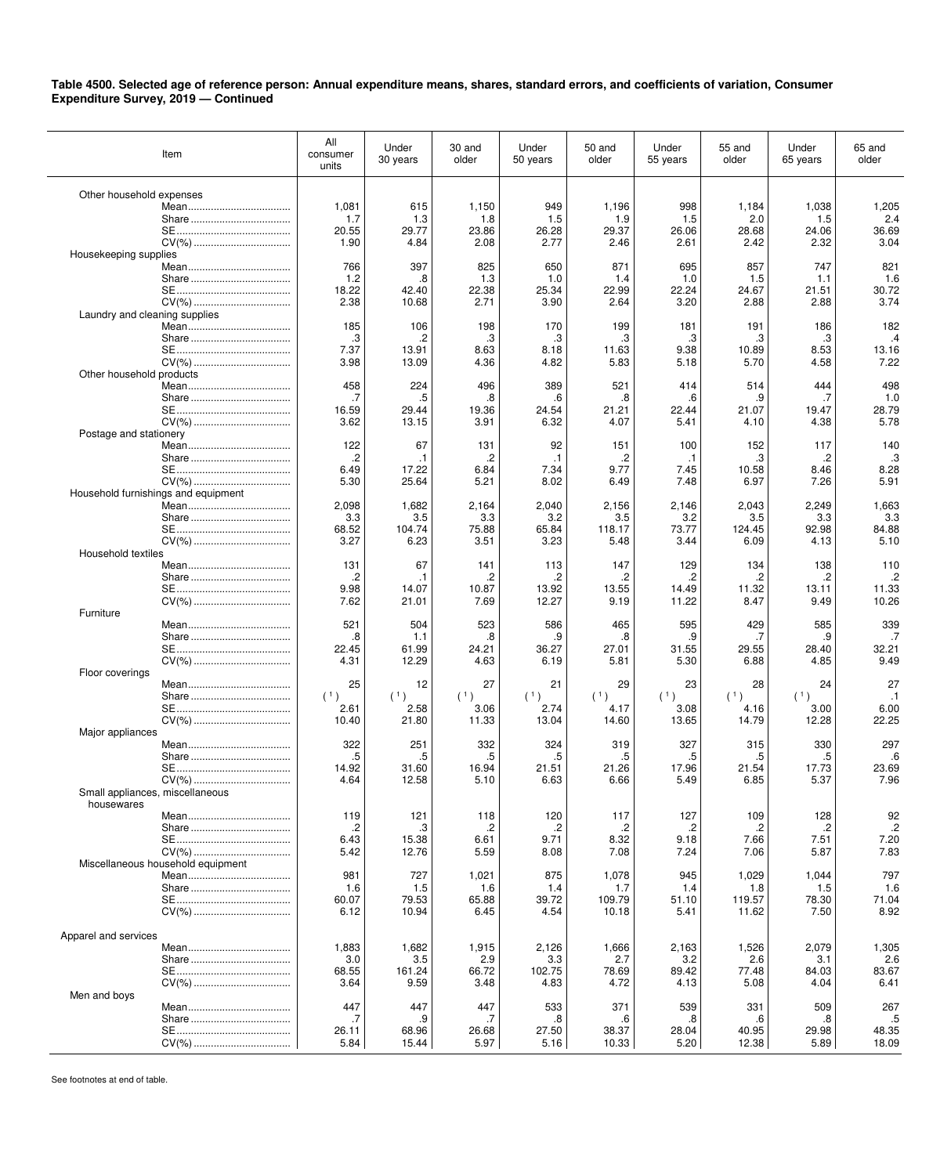| Item                                | All<br>consumer<br>units | Under<br>30 years | 30 and<br>older | Under<br>50 years | 50 and<br>older | Under<br>55 years | 55 and<br>older | Under<br>65 years | 65 and<br>older |
|-------------------------------------|--------------------------|-------------------|-----------------|-------------------|-----------------|-------------------|-----------------|-------------------|-----------------|
|                                     |                          |                   |                 |                   |                 |                   |                 |                   |                 |
| Other household expenses            | 1,081                    | 615               | 1,150           | 949               | 1,196           | 998               | 1,184           | 1,038             | 1,205           |
|                                     | 1.7                      | 1.3               | 1.8             | 1.5               | 1.9             | 1.5               | 2.0             | 1.5               | 2.4             |
|                                     | 20.55                    | 29.77             | 23.86           | 26.28             | 29.37           | 26.06             | 28.68           | 24.06             | 36.69           |
| CV(%)                               | 1.90                     | 4.84              | 2.08            | 2.77              | 2.46            | 2.61              | 2.42            | 2.32              | 3.04            |
| Housekeeping supplies               |                          |                   |                 |                   |                 |                   |                 |                   |                 |
|                                     | 766                      | 397               | 825             | 650               | 871             | 695               | 857             | 747               | 821             |
|                                     | 1.2<br>18.22             | .8                | 1.3             | 1.0               | 1.4<br>22.99    | 1.0<br>22.24      | 1.5             | 1.1               | 1.6<br>30.72    |
|                                     | 2.38                     | 42.40<br>10.68    | 22.38<br>2.71   | 25.34<br>3.90     | 2.64            | 3.20              | 24.67<br>2.88   | 21.51<br>2.88     | 3.74            |
| Laundry and cleaning supplies       |                          |                   |                 |                   |                 |                   |                 |                   |                 |
|                                     | 185                      | 106               | 198             | 170               | 199             | 181               | 191             | 186               | 182             |
|                                     | .3                       | .2                | .3              | .3                | .3              | .3                | .3              | .3                | $\cdot$         |
|                                     | 7.37                     | 13.91             | 8.63            | 8.18              | 11.63           | 9.38              | 10.89           | 8.53              | 13.16           |
|                                     | 3.98                     | 13.09             | 4.36            | 4.82              | 5.83            | 5.18              | 5.70            | 4.58              | 7.22            |
| Other household products            |                          |                   |                 |                   |                 |                   |                 |                   |                 |
|                                     | 458                      | 224               | 496             | 389               | 521             | 414               | 514             | 444               | 498             |
|                                     | .7<br>16.59              | .5<br>29.44       | .8<br>19.36     | .6<br>24.54       | .8<br>21.21     | .6<br>22.44       | .9<br>21.07     | .7<br>19.47       | 1.0<br>28.79    |
|                                     | 3.62                     | 13.15             | 3.91            | 6.32              | 4.07            | 5.41              | 4.10            | 4.38              | 5.78            |
| Postage and stationery              |                          |                   |                 |                   |                 |                   |                 |                   |                 |
|                                     | 122                      | 67                | 131             | 92                | 151             | 100               | 152             | 117               | 140             |
|                                     | .2                       | $\cdot$ 1         | .2              | .1                | .2              | $\cdot$ 1         | .3              | .2                | .3              |
|                                     | 6.49                     | 17.22             | 6.84            | 7.34              | 9.77            | 7.45              | 10.58           | 8.46              | 8.28            |
|                                     | 5.30                     | 25.64             | 5.21            | 8.02              | 6.49            | 7.48              | 6.97            | 7.26              | 5.91            |
| Household furnishings and equipment |                          |                   |                 |                   |                 |                   |                 |                   |                 |
|                                     | 2,098                    | 1,682             | 2,164           | 2,040             | 2,156           | 2,146             | 2,043           | 2,249             | 1,663           |
|                                     | 3.3                      | 3.5               | 3.3             | 3.2               | 3.5             | 3.2               | 3.5             | 3.3               | 3.3             |
| CV(%)                               | 68.52<br>3.27            | 104.74<br>6.23    | 75.88<br>3.51   | 65.84<br>3.23     | 118.17<br>5.48  | 73.77<br>3.44     | 124.45<br>6.09  | 92.98<br>4.13     | 84.88<br>5.10   |
| Household textiles                  |                          |                   |                 |                   |                 |                   |                 |                   |                 |
|                                     | 131                      | 67                | 141             | 113               | 147             | 129               | 134             | 138               | 110             |
|                                     | .2                       | $\cdot$ 1         | .2              | .2                | .2              | .2                | .2              | .2                | .2              |
|                                     | 9.98                     | 14.07             | 10.87           | 13.92             | 13.55           | 14.49             | 11.32           | 13.11             | 11.33           |
|                                     | 7.62                     | 21.01             | 7.69            | 12.27             | 9.19            | 11.22             | 8.47            | 9.49              | 10.26           |
| Furniture                           |                          |                   |                 |                   |                 |                   |                 |                   |                 |
|                                     | 521                      | 504               | 523             | 586               | 465             | 595               | 429             | 585               | 339             |
|                                     | .8                       | 1.1               | .8<br>24.21     | .9                | .8              | .9                | .7              | .9                | .7              |
|                                     | 22.45<br>4.31            | 61.99<br>12.29    | 4.63            | 36.27<br>6.19     | 27.01<br>5.81   | 31.55<br>5.30     | 29.55<br>6.88   | 28.40<br>4.85     | 32.21<br>9.49   |
| Floor coverings                     |                          |                   |                 |                   |                 |                   |                 |                   |                 |
|                                     | 25                       | 12                | 27              | 21                | 29              | 23                | 28              | 24                | 27              |
|                                     | (1)                      | (1)               | (1)             | (1)               | (1)             | (1)               | (1)             | (1)               | $\cdot$ 1       |
|                                     | 2.61                     | 2.58              | 3.06            | 2.74              | 4.17            | 3.08              | 4.16            | 3.00              | 6.00            |
|                                     | 10.40                    | 21.80             | 11.33           | 13.04             | 14.60           | 13.65             | 14.79           | 12.28             | 22.25           |
| Major appliances                    |                          |                   |                 |                   |                 |                   |                 |                   |                 |
|                                     | 322                      | 251               | 332<br>.5       | 324               | 319             | 327               | 315             | 330               | 297             |
|                                     | .5<br>14.92              | .5<br>31.60       | 16.94           | .5<br>21.51       | .5<br>21.26     | .5<br>17.96       | .5<br>21.54     | .5<br>17.73       | .6<br>23.69     |
|                                     | 4.64                     | 12.58             | 5.10            | 6.63              | 6.66            | 5.49              | 6.85            | 5.37              | 7.96            |
| Small appliances, miscellaneous     |                          |                   |                 |                   |                 |                   |                 |                   |                 |
| housewares                          |                          |                   |                 |                   |                 |                   |                 |                   |                 |
|                                     | 119                      | 121               | 118             | 120               | 117             | 127               | 109             | 128               | 92              |
|                                     | .2                       | .3                | .2              | .2                | .2              | .2                | .2              | .2                | $\cdot$         |
|                                     | 6.43                     | 15.38             | 6.61            | 9.71              | 8.32            | 9.18              | 7.66            | 7.51              | 7.20            |
|                                     | 5.42                     | 12.76             | 5.59            | 8.08              | 7.08            | 7.24              | 7.06            | 5.87              | 7.83            |
| Miscellaneous household equipment   | 981                      | 727               | 1,021           | 875               | 1,078           | 945               | 1,029           | 1,044             | 797             |
|                                     | 1.6                      | 1.5               | 1.6             | 1.4               | 1.7             | 1.4               | 1.8             | 1.5               | 1.6             |
|                                     | 60.07                    | 79.53             | 65.88           | 39.72             | 109.79          | 51.10             | 119.57          | 78.30             | 71.04           |
|                                     | 6.12                     | 10.94             | 6.45            | 4.54              | 10.18           | 5.41              | 11.62           | 7.50              | 8.92            |
|                                     |                          |                   |                 |                   |                 |                   |                 |                   |                 |
| Apparel and services                |                          |                   |                 |                   |                 |                   |                 |                   |                 |
|                                     | 1,883                    | 1,682             | 1,915           | 2,126             | 1,666           | 2,163             | 1,526           | 2,079             | 1,305           |
|                                     | 3.0                      | 3.5               | 2.9             | 3.3               | 2.7             | 3.2               | 2.6             | 3.1               | 2.6             |
|                                     | 68.55                    | 161.24            | 66.72           | 102.75            | 78.69           | 89.42             | 77.48           | 84.03             | 83.67           |
| Men and boys                        | 3.64                     | 9.59              | 3.48            | 4.83              | 4.72            | 4.13              | 5.08            | 4.04              | 6.41            |
|                                     | 447                      | 447               | 447             | 533               | 371             | 539               | 331             | 509               | 267             |
|                                     | .7                       | .9                | .7              | .8                | .6              | .8                | .6              | .8                | .5              |
|                                     | 26.11                    | 68.96             | 26.68           | 27.50             | 38.37           | 28.04             | 40.95           | 29.98             | 48.35           |
|                                     | 5.84                     | 15.44             | 5.97            | 5.16              | 10.33           | 5.20              | 12.38           | 5.89              | 18.09           |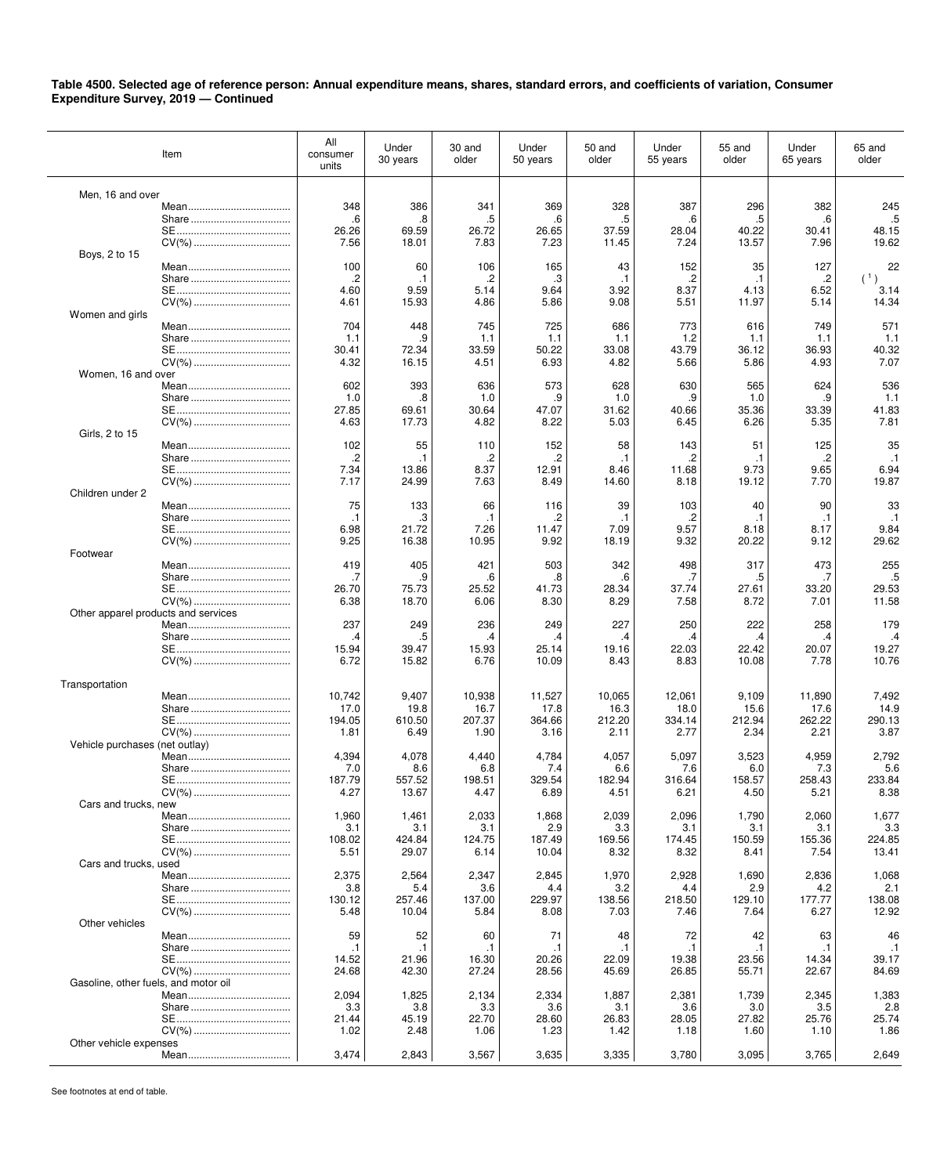| Item                                 | All<br>consumer<br>units | Under<br>30 years | 30 and<br>older   | Under<br>50 years | 50 and<br>older   | Under<br>55 years | 55 and<br>older   | Under<br>65 years | 65 and<br>older   |
|--------------------------------------|--------------------------|-------------------|-------------------|-------------------|-------------------|-------------------|-------------------|-------------------|-------------------|
|                                      |                          |                   |                   |                   |                   |                   |                   |                   |                   |
| Men, 16 and over                     | 348                      | 386               | 341               | 369               | 328               | 387               | 296               | 382               | 245               |
|                                      | .6                       | 8.                | .5                | .6                | .5                | .6                | .5                | .6                | $.5\,$            |
|                                      | 26.26                    | 69.59             | 26.72             | 26.65             | 37.59             | 28.04             | 40.22             | 30.41             | 48.15             |
| CV(%)<br>Boys, 2 to 15               | 7.56                     | 18.01             | 7.83              | 7.23              | 11.45             | 7.24              | 13.57             | 7.96              | 19.62             |
|                                      | 100                      | 60                | 106               | 165               | 43                | 152               | 35                | 127               | 22                |
|                                      | $\cdot$                  | $\cdot$ 1         | .2                | .3                | $\cdot$ 1         | $\cdot$           | $\cdot$ 1         | $\cdot$           | (1)               |
|                                      | 4.60                     | 9.59              | 5.14              | 9.64              | 3.92              | 8.37              | 4.13              | 6.52              | 3.14              |
|                                      | 4.61                     | 15.93             | 4.86              | 5.86              | 9.08              | 5.51              | 11.97             | 5.14              | 14.34             |
| Women and girls                      | 704                      | 448               | 745               | 725               | 686               | 773               | 616               | 749               | 571               |
|                                      | 1.1                      | .9                | 1.1               | 1.1               | 1.1               | 1.2               | 1.1               | 1.1               | 1.1               |
|                                      | 30.41                    | 72.34             | 33.59             | 50.22             | 33.08             | 43.79             | 36.12             | 36.93             | 40.32             |
|                                      | 4.32                     | 16.15             | 4.51              | 6.93              | 4.82              | 5.66              | 5.86              | 4.93              | 7.07              |
| Women, 16 and over                   | 602                      | 393               | 636               | 573               | 628               | 630               | 565               | 624               | 536               |
|                                      | 1.0                      | 8.                | 1.0               | .9                | 1.0               | .9                | 1.0               | .9                | 1.1               |
|                                      | 27.85                    | 69.61             | 30.64             | 47.07             | 31.62             | 40.66             | 35.36             | 33.39             | 41.83             |
|                                      | 4.63                     | 17.73             | 4.82              | 8.22              | 5.03              | 6.45              | 6.26              | 5.35              | 7.81              |
| Girls, 2 to 15                       |                          |                   |                   |                   |                   |                   |                   |                   |                   |
|                                      | 102<br>.2                | 55<br>$\cdot$ 1   | 110<br>.2         | 152<br>.2         | 58<br>$\cdot$ 1   | 143<br>.2         | 51<br>$\cdot$ 1   | 125<br>.2         | 35<br>$\cdot$ 1   |
|                                      | 7.34                     | 13.86             | 8.37              | 12.91             | 8.46              | 11.68             | 9.73              | 9.65              | 6.94              |
|                                      | 7.17                     | 24.99             | 7.63              | 8.49              | 14.60             | 8.18              | 19.12             | 7.70              | 19.87             |
| Children under 2                     |                          |                   |                   |                   |                   |                   |                   |                   |                   |
|                                      | 75                       | 133               | 66                | 116               | 39                | 103               | 40                | 90                | 33                |
|                                      | $\cdot$ 1<br>6.98        | .3<br>21.72       | $\cdot$ 1<br>7.26 | .2<br>11.47       | $\cdot$ 1<br>7.09 | .2<br>9.57        | $\cdot$ 1<br>8.18 | $\cdot$ 1<br>8.17 | $\cdot$ 1<br>9.84 |
| CV(%)                                | 9.25                     | 16.38             | 10.95             | 9.92              | 18.19             | 9.32              | 20.22             | 9.12              | 29.62             |
| Footwear                             |                          |                   |                   |                   |                   |                   |                   |                   |                   |
|                                      | 419                      | 405               | 421               | 503               | 342               | 498               | 317               | 473               | 255               |
|                                      | .7<br>26.70              | .9<br>75.73       | .6<br>25.52       | .8<br>41.73       | .6<br>28.34       | .7<br>37.74       | .5<br>27.61       | .7<br>33.20       | .5<br>29.53       |
|                                      | 6.38                     | 18.70             | 6.06              | 8.30              | 8.29              | 7.58              | 8.72              | 7.01              | 11.58             |
| Other apparel products and services  |                          |                   |                   |                   |                   |                   |                   |                   |                   |
|                                      | 237                      | 249               | 236               | 249               | 227               | 250               | 222               | 258               | 179               |
|                                      | .4                       | .5                | .4                | .4                | .4                | .4                | .4                | .4                | $\mathcal{A}$     |
|                                      | 15.94<br>6.72            | 39.47<br>15.82    | 15.93<br>6.76     | 25.14<br>10.09    | 19.16<br>8.43     | 22.03<br>8.83     | 22.42<br>10.08    | 20.07<br>7.78     | 19.27<br>10.76    |
|                                      |                          |                   |                   |                   |                   |                   |                   |                   |                   |
| Transportation                       |                          |                   |                   |                   |                   |                   |                   |                   |                   |
|                                      | 10,742                   | 9,407             | 10,938            | 11,527            | 10,065            | 12,061            | 9,109             | 11,890            | 7,492             |
|                                      | 17.0<br>194.05           | 19.8<br>610.50    | 16.7<br>207.37    | 17.8<br>364.66    | 16.3<br>212.20    | 18.0<br>334.14    | 15.6<br>212.94    | 17.6<br>262.22    | 14.9<br>290.13    |
|                                      | 1.81                     | 6.49              | 1.90              | 3.16              | 2.11              | 2.77              | 2.34              | 2.21              | 3.87              |
| Vehicle purchases (net outlay)       |                          |                   |                   |                   |                   |                   |                   |                   |                   |
|                                      | 4,394                    | 4,078             | 4,440             | 4,784             | 4,057             | 5,097             | 3,523             | 4,959             | 2,792             |
|                                      | 7.0<br>187.79            | 8.6<br>557.52     | 6.8<br>198.51     | 7.4<br>329.54     | 6.6<br>182.94     | 7.6<br>316.64     | 6.0<br>158.57     | 7.3<br>258.43     | 5.6<br>233.84     |
|                                      | 4.27                     | 13.67             | 4.47              | 6.89              | 4.51              | 6.21              | 4.50              | 5.21              | 8.38              |
| Cars and trucks, new                 |                          |                   |                   |                   |                   |                   |                   |                   |                   |
|                                      | 1,960                    | 1,461             | 2,033             | 1,868             | 2,039             | 2,096             | 1,790             | 2,060             | 1,677             |
|                                      | 3.1                      | 3.1               | 3.1               | 2.9               | 3.3               | 3.1               | 3.1               | 3.1               | 3.3               |
|                                      | 108.02<br>5.51           | 424.84<br>29.07   | 124.75<br>6.14    | 187.49<br>10.04   | 169.56<br>8.32    | 174.45<br>8.32    | 150.59<br>8.41    | 155.36<br>7.54    | 224.85<br>13.41   |
| Cars and trucks, used                |                          |                   |                   |                   |                   |                   |                   |                   |                   |
|                                      | 2,375                    | 2,564             | 2,347             | 2,845             | 1,970             | 2,928             | 1,690             | 2,836             | 1,068             |
|                                      | 3.8                      | 5.4               | 3.6               | 4.4               | 3.2               | 4.4               | 2.9               | 4.2               | 2.1               |
|                                      | 130.12<br>5.48           | 257.46<br>10.04   | 137.00<br>5.84    | 229.97<br>8.08    | 138.56<br>7.03    | 218.50<br>7.46    | 129.10<br>7.64    | 177.77<br>6.27    | 138.08<br>12.92   |
| Other vehicles                       |                          |                   |                   |                   |                   |                   |                   |                   |                   |
|                                      | 59                       | 52                | 60                | 71                | 48                | 72                | 42                | 63                | 46                |
|                                      | $\cdot$ 1                | $\cdot$ 1         | $\cdot$ 1         | $\cdot$ 1         | $\cdot$ 1         | $\cdot$ 1         | $\cdot$ 1         | $\cdot$ 1         | $\cdot$ 1         |
|                                      | 14.52                    | 21.96             | 16.30             | 20.26             | 22.09             | 19.38             | 23.56             | 14.34             | 39.17             |
| Gasoline, other fuels, and motor oil | 24.68                    | 42.30             | 27.24             | 28.56             | 45.69             | 26.85             | 55.71             | 22.67             | 84.69             |
|                                      | 2,094                    | 1,825             | 2,134             | 2,334             | 1,887             | 2,381             | 1,739             | 2,345             | 1,383             |
|                                      | 3.3                      | 3.8               | 3.3               | 3.6               | 3.1               | 3.6               | 3.0               | 3.5               | 2.8               |
|                                      | 21.44                    | 45.19             | 22.70             | 28.60             | 26.83             | 28.05             | 27.82             | 25.76             | 25.74             |
|                                      | 1.02                     | 2.48              | 1.06              | 1.23              | 1.42              | 1.18              | 1.60              | 1.10              | 1.86              |
| Other vehicle expenses               | 3,474                    | 2,843             | 3,567             | 3,635             | 3,335             | 3,780             | 3,095             | 3,765             | 2,649             |
|                                      |                          |                   |                   |                   |                   |                   |                   |                   |                   |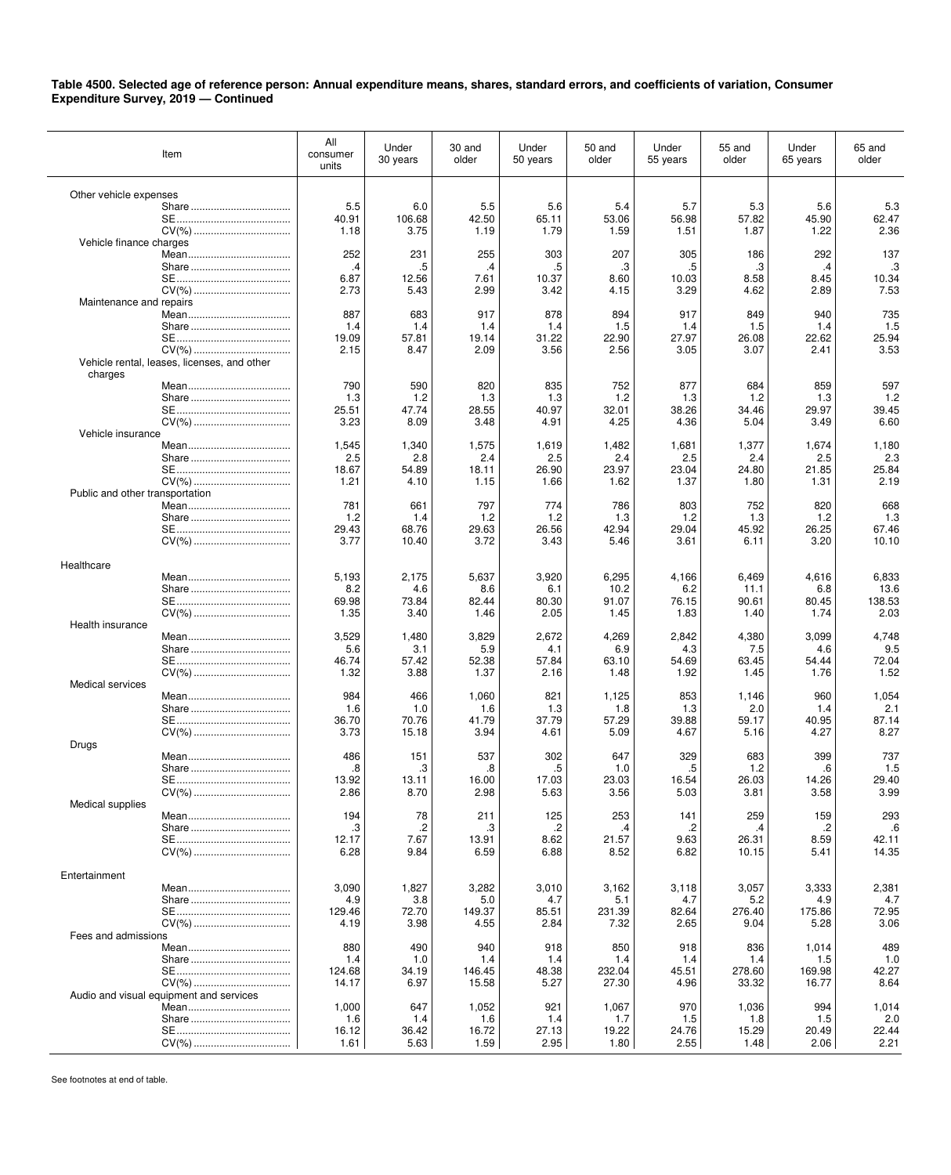| Item                                        | All<br>consumer<br>units | Under<br>30 years | 30 and<br>older | Under<br>50 years | 50 and<br>older | Under<br>55 years | 55 and<br>older | Under<br>65 years | 65 and<br>older |
|---------------------------------------------|--------------------------|-------------------|-----------------|-------------------|-----------------|-------------------|-----------------|-------------------|-----------------|
| Other vehicle expenses                      |                          |                   |                 |                   |                 |                   |                 |                   |                 |
|                                             | 5.5                      | 6.0               | 5.5             | 5.6               | 5.4             | 5.7               | 5.3             | 5.6               | 5.3             |
|                                             | 40.91                    | 106.68            | 42.50           | 65.11             | 53.06           | 56.98             | 57.82           | 45.90             | 62.47           |
|                                             | 1.18                     | 3.75              | 1.19            | 1.79              | 1.59            | 1.51              | 1.87            | 1.22              | 2.36            |
| Vehicle finance charges                     | 252                      | 231               | 255             | 303               | 207             | 305               | 186             | 292               | 137             |
|                                             | .4                       | .5                | .4              | .5                | .3              | .5                | .3              | .4                | .3              |
|                                             | 6.87                     | 12.56             | 7.61            | 10.37             | 8.60            | 10.03             | 8.58            | 8.45              | 10.34           |
|                                             | 2.73                     | 5.43              | 2.99            | 3.42              | 4.15            | 3.29              | 4.62            | 2.89              | 7.53            |
| Maintenance and repairs                     |                          |                   |                 |                   |                 |                   |                 |                   |                 |
|                                             | 887<br>1.4               | 683<br>1.4        | 917<br>1.4      | 878<br>1.4        | 894<br>1.5      | 917<br>1.4        | 849<br>1.5      | 940               | 735<br>1.5      |
|                                             | 19.09                    | 57.81             | 19.14           | 31.22             | 22.90           | 27.97             | 26.08           | 1.4<br>22.62      | 25.94           |
|                                             | 2.15                     | 8.47              | 2.09            | 3.56              | 2.56            | 3.05              | 3.07            | 2.41              | 3.53            |
| Vehicle rental, leases, licenses, and other |                          |                   |                 |                   |                 |                   |                 |                   |                 |
| charges                                     |                          |                   |                 |                   |                 |                   |                 |                   |                 |
|                                             | 790                      | 590               | 820             | 835               | 752             | 877               | 684             | 859               | 597             |
|                                             | 1.3<br>25.51             | 1.2<br>47.74      | 1.3<br>28.55    | 1.3<br>40.97      | 1.2<br>32.01    | 1.3<br>38.26      | 1.2<br>34.46    | 1.3<br>29.97      | 1.2<br>39.45    |
|                                             | 3.23                     | 8.09              | 3.48            | 4.91              | 4.25            | 4.36              | 5.04            | 3.49              | 6.60            |
| Vehicle insurance                           |                          |                   |                 |                   |                 |                   |                 |                   |                 |
|                                             | 1,545                    | 1,340             | 1,575           | 1,619             | 1,482           | 1,681             | 1,377           | 1,674             | 1,180           |
|                                             | 2.5                      | 2.8               | 2.4             | 2.5               | 2.4             | 2.5               | 2.4             | 2.5               | 2.3             |
|                                             | 18.67                    | 54.89             | 18.11           | 26.90             | 23.97           | 23.04             | 24.80           | 21.85             | 25.84           |
| Public and other transportation             | 1.21                     | 4.10              | 1.15            | 1.66              | 1.62            | 1.37              | 1.80            | 1.31              | 2.19            |
|                                             | 781                      | 661               | 797             | 774               | 786             | 803               | 752             | 820               | 668             |
|                                             | 1.2                      | 1.4               | 1.2             | 1.2               | 1.3             | 1.2               | 1.3             | 1.2               | 1.3             |
|                                             | 29.43                    | 68.76             | 29.63           | 26.56             | 42.94           | 29.04             | 45.92           | 26.25             | 67.46           |
|                                             | 3.77                     | 10.40             | 3.72            | 3.43              | 5.46            | 3.61              | 6.11            | 3.20              | 10.10           |
| Healthcare                                  |                          |                   |                 |                   |                 |                   |                 |                   |                 |
|                                             | 5,193                    | 2,175             | 5,637           | 3,920             | 6,295           | 4,166             | 6,469           | 4,616             | 6,833           |
|                                             | 8.2                      | 4.6               | 8.6             | 6.1               | 10.2            | 6.2               | 11.1            | 6.8               | 13.6            |
|                                             | 69.98                    | 73.84             | 82.44           | 80.30             | 91.07           | 76.15             | 90.61           | 80.45             | 138.53          |
|                                             | 1.35                     | 3.40              | 1.46            | 2.05              | 1.45            | 1.83              | 1.40            | 1.74              | 2.03            |
| Health insurance                            |                          |                   |                 |                   |                 |                   |                 |                   |                 |
|                                             | 3,529<br>5.6             | 1,480<br>3.1      | 3,829<br>5.9    | 2,672<br>4.1      | 4,269<br>6.9    | 2,842<br>4.3      | 4,380<br>7.5    | 3,099<br>4.6      | 4,748<br>9.5    |
|                                             | 46.74                    | 57.42             | 52.38           | 57.84             | 63.10           | 54.69             | 63.45           | 54.44             | 72.04           |
|                                             | 1.32                     | 3.88              | 1.37            | 2.16              | 1.48            | 1.92              | 1.45            | 1.76              | 1.52            |
| Medical services                            |                          |                   |                 |                   |                 |                   |                 |                   |                 |
|                                             | 984                      | 466               | 1,060           | 821               | 1,125           | 853               | 1,146           | 960               | 1,054           |
|                                             | 1.6<br>36.70             | 1.0<br>70.76      | 1.6<br>41.79    | 1.3<br>37.79      | 1.8<br>57.29    | 1.3<br>39.88      | 2.0<br>59.17    | 1.4<br>40.95      | 2.1<br>87.14    |
|                                             | 3.73                     | 15.18             | 3.94            | 4.61              | 5.09            | 4.67              | 5.16            | 4.27              | 8.27            |
| Drugs                                       |                          |                   |                 |                   |                 |                   |                 |                   |                 |
|                                             | 486                      | 151               | 537             | 302               | 647             | 329               | 683             | 399               | 737             |
|                                             | .8                       | .3                | .8              | .5                | 1.0             | .5                | 1.2             | .6                | 1.5             |
|                                             | 13.92<br>2.86            | 13.11<br>8.70     | 16.00<br>2.98   | 17.03<br>5.63     | 23.03<br>3.56   | 16.54<br>5.03     | 26.03<br>3.81   | 14.26<br>3.58     | 29.40<br>3.99   |
| Medical supplies                            |                          |                   |                 |                   |                 |                   |                 |                   |                 |
|                                             | 194                      | 78                | 211             | 125               | 253             | 141               | 259             | 159               | 293             |
|                                             | .3                       | .2                | .3              | .2                | .4              | .2                | .4              | .2                | .6              |
|                                             | 12.17                    | 7.67              | 13.91           | 8.62              | 21.57           | 9.63              | 26.31           | 8.59              | 42.11           |
| CV(%)                                       | 6.28                     | 9.84              | 6.59            | 6.88              | 8.52            | 6.82              | 10.15           | 5.41              | 14.35           |
| Entertainment                               |                          |                   |                 |                   |                 |                   |                 |                   |                 |
|                                             | 3,090                    | 1,827             | 3,282           | 3,010             | 3,162           | 3,118             | 3,057           | 3,333             | 2,381           |
|                                             | 4.9                      | 3.8               | 5.0             | 4.7               | 5.1             | 4.7               | 5.2             | 4.9               | 4.7             |
|                                             | 129.46                   | 72.70             | 149.37          | 85.51             | 231.39          | 82.64             | 276.40          | 175.86            | 72.95           |
| Fees and admissions                         | 4.19                     | 3.98              | 4.55            | 2.84              | 7.32            | 2.65              | 9.04            | 5.28              | 3.06            |
|                                             | 880                      | 490               | 940             | 918               | 850             | 918               | 836             | 1,014             | 489             |
|                                             | 1.4                      | 1.0               | 1.4             | 1.4               | 1.4             | 1.4               | 1.4             | 1.5               | 1.0             |
|                                             | 124.68                   | 34.19             | 146.45          | 48.38             | 232.04          | 45.51             | 278.60          | 169.98            | 42.27           |
|                                             | 14.17                    | 6.97              | 15.58           | 5.27              | 27.30           | 4.96              | 33.32           | 16.77             | 8.64            |
| Audio and visual equipment and services     | 1,000                    | 647               |                 | 921               |                 | 970               | 1,036           | 994               |                 |
|                                             | 1.6                      | 1.4               | 1,052<br>1.6    | 1.4               | 1,067<br>1.7    | 1.5               | 1.8             | 1.5               | 1,014<br>2.0    |
|                                             | 16.12                    | 36.42             | 16.72           | 27.13             | 19.22           | 24.76             | 15.29           | 20.49             | 22.44           |
| CV(%)                                       | 1.61                     | 5.63              | 1.59            | 2.95              | 1.80            | 2.55              | 1.48            | 2.06              | 2.21            |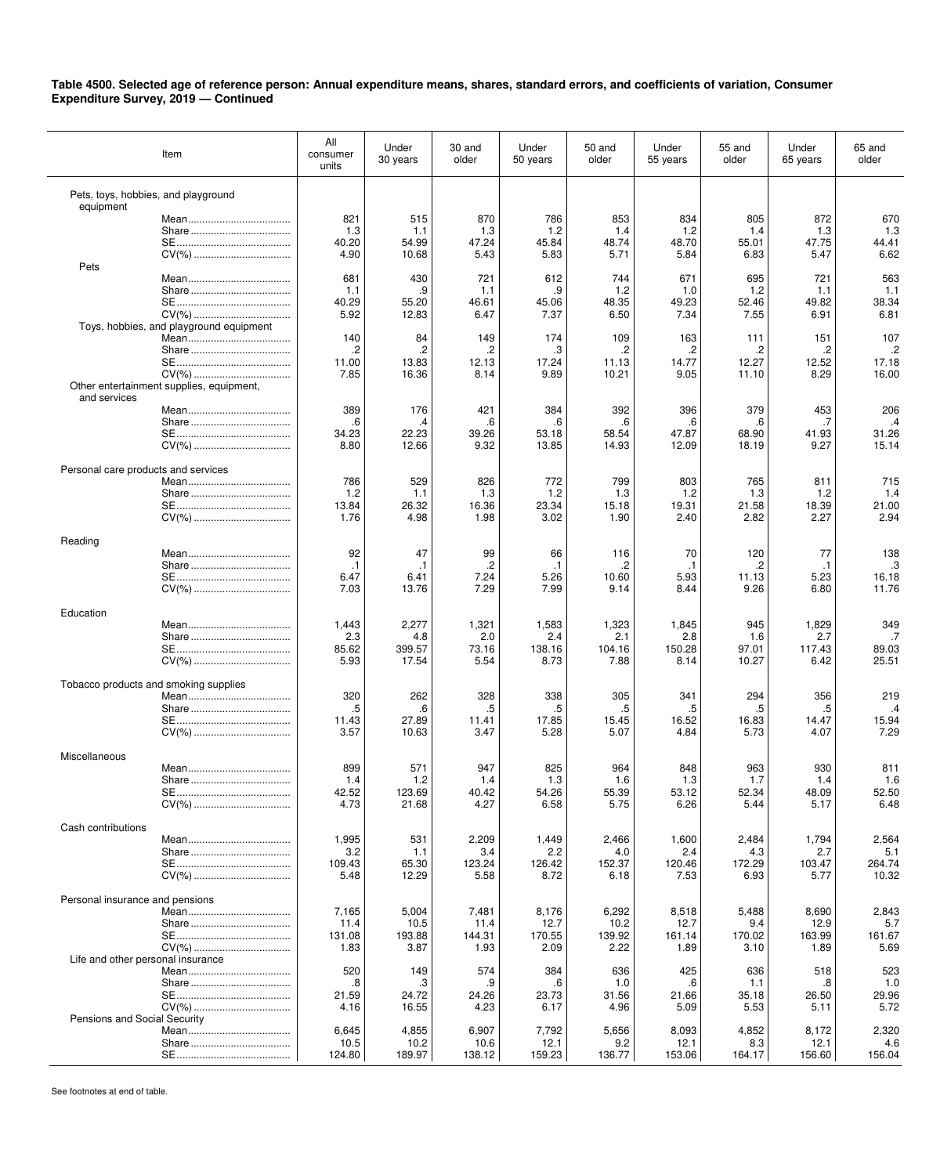|                                       | Item                                     | All<br>consumer<br>units | Under<br>30 years | 30 and<br>older | Under<br>50 years | 50 and<br>older | Under<br>55 years | 55 and<br>older | Under<br>65 years | 65 and<br>older |
|---------------------------------------|------------------------------------------|--------------------------|-------------------|-----------------|-------------------|-----------------|-------------------|-----------------|-------------------|-----------------|
| Pets, toys, hobbies, and playground   |                                          |                          |                   |                 |                   |                 |                   |                 |                   |                 |
| equipment                             |                                          | 821                      | 515               | 870             | 786               | 853             | 834               | 805             | 872               | 670             |
|                                       | Share                                    | 1.3                      | 1.1               | 1.3             | 1.2               | 1.4             | 1.2               | 1.4             | 1.3               | 1.3             |
|                                       |                                          | 40.20                    | 54.99             | 47.24           | 45.84             | 48.74           | 48.70             | 55.01           | 47.75             | 44.41           |
|                                       | CV(%)                                    | 4.90                     | 10.68             | 5.43            | 5.83              | 5.71            | 5.84              | 6.83            | 5.47              | 6.62            |
| Pets                                  |                                          |                          |                   |                 |                   |                 |                   |                 |                   |                 |
|                                       |                                          | 681                      | 430               | 721             | 612               | 744             | 671               | 695             | 721               | 563             |
|                                       |                                          | 1.1                      | .9                | 1.1             | .9                | 1.2             | 1.0               | 1.2             | 1.1               | 1.1             |
|                                       |                                          | 40.29                    | 55.20             | 46.61           | 45.06             | 48.35           | 49.23             | 52.46           | 49.82             | 38.34           |
|                                       | CV(%)                                    | 5.92                     | 12.83             | 6.47            | 7.37              | 6.50            | 7.34              | 7.55            | 6.91              | 6.81            |
|                                       | Toys, hobbies, and playground equipment  | 140                      | 84                | 149             | 174               | 109             | 163               | 111             | 151               | 107             |
|                                       |                                          | .2                       | $\cdot$           | .2              | .3                | $\cdot$         | .2                | .2              | .2                | .2              |
|                                       |                                          | 11.00                    | 13.83             | 12.13           | 17.24             | 11.13           | 14.77             | 12.27           | 12.52             | 17.18           |
|                                       |                                          | 7.85                     | 16.36             | 8.14            | 9.89              | 10.21           | 9.05              | 11.10           | 8.29              | 16.00           |
|                                       | Other entertainment supplies, equipment, |                          |                   |                 |                   |                 |                   |                 |                   |                 |
| and services                          |                                          |                          |                   |                 |                   |                 |                   |                 |                   |                 |
|                                       |                                          | 389                      | 176               | 421             | 384               | 392             | 396               | 379             | 453               | 206             |
|                                       |                                          | .6                       | .4                | .6              | .6                | .6              | .6                | .6              | .7                | $\cdot$         |
|                                       |                                          | 34.23<br>8.80            | 22.23<br>12.66    | 39.26<br>9.32   | 53.18<br>13.85    | 58.54<br>14.93  | 47.87<br>12.09    | 68.90<br>18.19  | 41.93<br>9.27     | 31.26<br>15.14  |
|                                       | CV(%)                                    |                          |                   |                 |                   |                 |                   |                 |                   |                 |
| Personal care products and services   |                                          |                          |                   |                 |                   |                 |                   |                 |                   |                 |
|                                       |                                          | 786                      | 529               | 826             | 772               | 799             | 803               | 765             | 811               | 715             |
|                                       |                                          | 1.2                      | 1.1               | 1.3             | 1.2               | 1.3             | 1.2               | 1.3             | 1.2               | 1.4             |
|                                       |                                          | 13.84                    | 26.32             | 16.36           | 23.34             | 15.18           | 19.31             | 21.58           | 18.39             | 21.00           |
|                                       | CV(%)                                    | 1.76                     | 4.98              | 1.98            | 3.02              | 1.90            | 2.40              | 2.82            | 2.27              | 2.94            |
|                                       |                                          |                          |                   |                 |                   |                 |                   |                 |                   |                 |
| Reading                               |                                          | 92                       | 47                | 99              | 66                | 116             | 70                | 120             | 77                | 138             |
|                                       |                                          | $\cdot$ 1                | $\cdot$ 1         | .2              | $\cdot$ 1         | .2              | $\cdot$ 1         | .2              | $\cdot$ 1         | .3              |
|                                       |                                          | 6.47                     | 6.41              | 7.24            | 5.26              | 10.60           | 5.93              | 11.13           | 5.23              | 16.18           |
|                                       |                                          | 7.03                     | 13.76             | 7.29            | 7.99              | 9.14            | 8.44              | 9.26            | 6.80              | 11.76           |
|                                       |                                          |                          |                   |                 |                   |                 |                   |                 |                   |                 |
| Education                             |                                          |                          |                   |                 |                   |                 |                   |                 |                   |                 |
|                                       |                                          | 1,443                    | 2,277             | 1,321           | 1,583             | 1,323           | 1,845             | 945             | 1,829             | 349             |
|                                       |                                          | 2.3<br>85.62             | 4.8<br>399.57     | 2.0<br>73.16    | 2.4<br>138.16     | 2.1<br>104.16   | 2.8<br>150.28     | 1.6<br>97.01    | 2.7<br>117.43     | .7<br>89.03     |
|                                       | CV(%)                                    | 5.93                     | 17.54             | 5.54            | 8.73              | 7.88            | 8.14              | 10.27           | 6.42              | 25.51           |
|                                       |                                          |                          |                   |                 |                   |                 |                   |                 |                   |                 |
| Tobacco products and smoking supplies |                                          |                          |                   |                 |                   |                 |                   |                 |                   |                 |
|                                       |                                          | 320                      | 262               | 328             | 338               | 305             | 341               | 294             | 356               | 219             |
|                                       |                                          | .5                       | .6                | .5              | .5                | .5              | .5                | .5              | .5                | $\mathcal{A}$   |
|                                       |                                          | 11.43<br>3.57            | 27.89<br>10.63    | 11.41<br>3.47   | 17.85<br>5.28     | 15.45<br>5.07   | 16.52<br>4.84     | 16.83<br>5.73   | 14.47<br>4.07     | 15.94<br>7.29   |
|                                       |                                          |                          |                   |                 |                   |                 |                   |                 |                   |                 |
| Miscellaneous                         |                                          |                          |                   |                 |                   |                 |                   |                 |                   |                 |
|                                       |                                          | 899                      | 571               | 947             | 825               | 964             | 848               | 963             | 930               | 811             |
|                                       |                                          | 1.4                      | 1.2               | 1.4             | 1.3               | 1.6             | 1.3               | 1.7             | 1.4               | 1.6             |
|                                       |                                          | 42.52                    | 123.69            | 40.42           | 54.26             | 55.39           | 53.12             | 52.34           | 48.09             | 52.50           |
|                                       |                                          | 4.73                     | 21.68             | 4.27            | 6.58              | 5.75            | 6.26              | 5.44            | 5.17              | 6.48            |
| Cash contributions                    |                                          |                          |                   |                 |                   |                 |                   |                 |                   |                 |
|                                       |                                          | 1,995                    | 531               | 2,209           | 1,449             | 2,466           | 1,600             | 2,484           | 1,794             | 2,564           |
|                                       |                                          | 3.2                      | 1.1               | 3.4             | 2.2               | 4.0             | 2.4               | 4.3             | 2.7               | 5.1             |
|                                       |                                          | 109.43                   | 65.30             | 123.24          | 126.42            | 152.37          | 120.46            | 172.29          | 103.47            | 264.74          |
|                                       |                                          | 5.48                     | 12.29             | 5.58            | 8.72              | 6.18            | 7.53              | 6.93            | 5.77              | 10.32           |
|                                       |                                          |                          |                   |                 |                   |                 |                   |                 |                   |                 |
| Personal insurance and pensions       |                                          | 7,165                    | 5,004             | 7,481           | 8,176             | 6,292           | 8,518             | 5,488           | 8,690             | 2,843           |
|                                       |                                          | 11.4                     | 10.5              | 11.4            | 12.7              | 10.2            | 12.7              | 9.4             | 12.9              | 5.7             |
|                                       |                                          | 131.08                   | 193.88            | 144.31          | 170.55            | 139.92          | 161.14            | 170.02          | 163.99            | 161.67          |
|                                       |                                          | 1.83                     | 3.87              | 1.93            | 2.09              | 2.22            | 1.89              | 3.10            | 1.89              | 5.69            |
| Life and other personal insurance     |                                          |                          |                   |                 |                   |                 |                   |                 |                   |                 |
|                                       |                                          | 520                      | 149               | 574             | 384               | 636             | 425               | 636             | 518               | 523             |
|                                       |                                          | .8                       | .3                | .9              | .6                | 1.0             | .6                | 1.1             | .8                | 1.0             |
|                                       |                                          | 21.59                    | 24.72             | 24.26           | 23.73             | 31.56           | 21.66             | 35.18           | 26.50             | 29.96           |
| Pensions and Social Security          |                                          | 4.16                     | 16.55             | 4.23            | 6.17              | 4.96            | 5.09              | 5.53            | 5.11              | 5.72            |
|                                       |                                          | 6,645                    | 4,855             | 6,907           | 7,792             | 5,656           | 8,093             | 4,852           | 8,172             | 2,320           |
|                                       |                                          | 10.5                     | 10.2              | 10.6            | 12.1              | 9.2             | 12.1              | 8.3             | 12.1              | 4.6             |
|                                       |                                          | 124.80                   | 189.97            | 138.12          | 159.23            | 136.77          | 153.06            | 164.17          | 156.60            | 156.04          |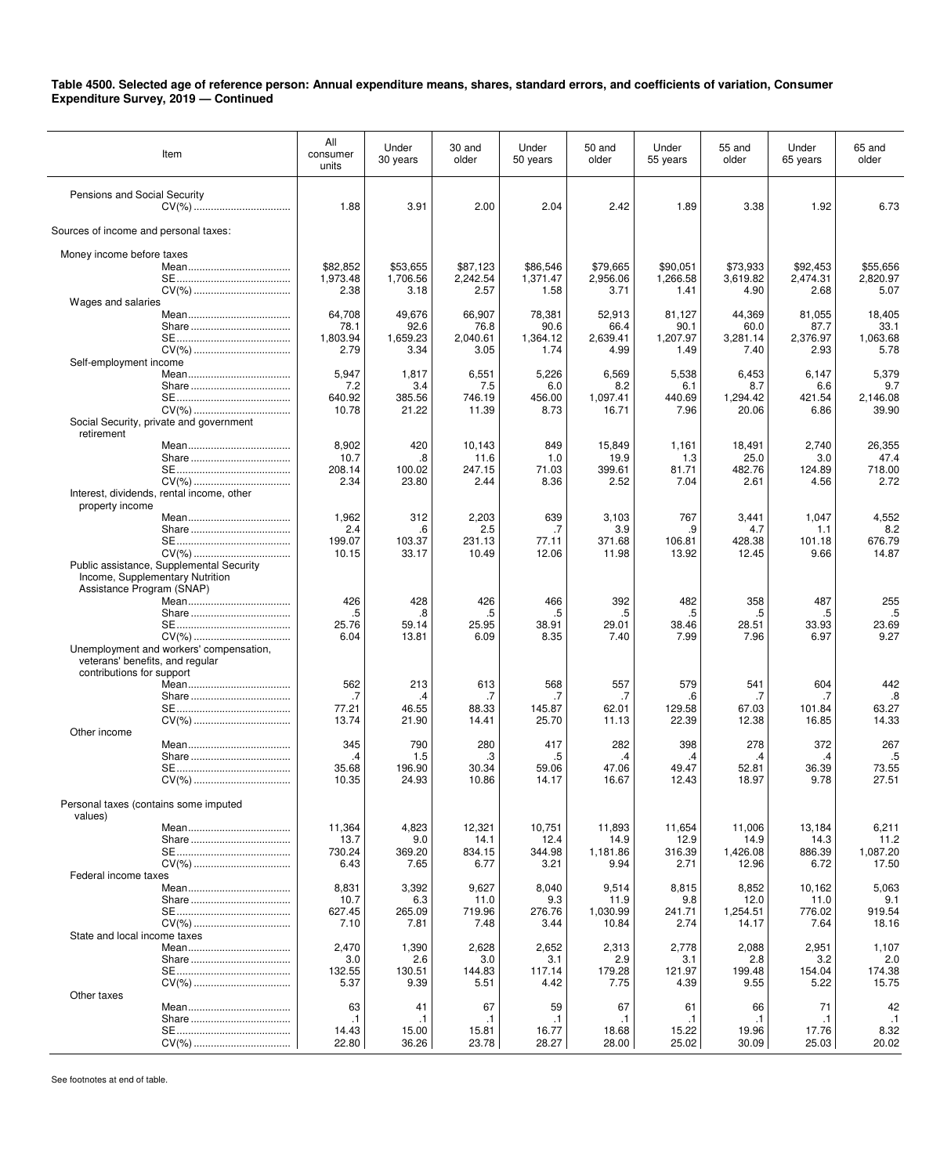| Item                                                         | All<br>consumer<br>units | Under<br>30 years    | 30 and<br>older      | Under<br>50 years    | 50 and<br>older      | Under<br>55 years    | 55 and<br>older      | Under<br>65 years    | 65 and<br>older      |
|--------------------------------------------------------------|--------------------------|----------------------|----------------------|----------------------|----------------------|----------------------|----------------------|----------------------|----------------------|
| Pensions and Social Security                                 | 1.88                     | 3.91                 | 2.00                 | 2.04                 | 2.42                 | 1.89                 | 3.38                 | 1.92                 | 6.73                 |
| Sources of income and personal taxes:                        |                          |                      |                      |                      |                      |                      |                      |                      |                      |
| Money income before taxes                                    |                          |                      |                      |                      |                      |                      |                      |                      |                      |
|                                                              | \$82,852<br>1,973.48     | \$53,655<br>1,706.56 | \$87,123<br>2,242.54 | \$86,546<br>1,371.47 | \$79,665<br>2,956.06 | \$90,051<br>1,266.58 | \$73,933<br>3.619.82 | \$92,453<br>2.474.31 | \$55,656<br>2,820.97 |
| Wages and salaries                                           | 2.38                     | 3.18                 | 2.57                 | 1.58                 | 3.71                 | 1.41                 | 4.90                 | 2.68                 | 5.07                 |
|                                                              | 64,708                   | 49,676               | 66,907               | 78,381               | 52,913               | 81,127               | 44,369               | 81,055               | 18,405               |
|                                                              | 78.1<br>1,803.94         | 92.6<br>1,659.23     | 76.8<br>2,040.61     | 90.6<br>1,364.12     | 66.4<br>2,639.41     | 90.1<br>1,207.97     | 60.0<br>3,281.14     | 87.7<br>2,376.97     | 33.1<br>1,063.68     |
|                                                              | 2.79                     | 3.34                 | 3.05                 | 1.74                 | 4.99                 | 1.49                 | 7.40                 | 2.93                 | 5.78                 |
| Self-employment income                                       | 5,947                    | 1,817                | 6,551                | 5,226                | 6,569                | 5,538                | 6,453                | 6,147                | 5,379                |
|                                                              | 7.2<br>640.92            | 3.4<br>385.56        | 7.5<br>746.19        | 6.0<br>456.00        | 8.2<br>1,097.41      | 6.1<br>440.69        | 8.7<br>1,294.42      | 6.6<br>421.54        | 9.7<br>2,146.08      |
|                                                              | 10.78                    | 21.22                | 11.39                | 8.73                 | 16.71                | 7.96                 | 20.06                | 6.86                 | 39.90                |
| Social Security, private and government<br>retirement        |                          |                      |                      |                      |                      |                      |                      |                      |                      |
|                                                              | 8,902                    | 420                  | 10,143               | 849                  | 15,849               | 1,161                | 18,491               | 2,740                | 26,355<br>47.4       |
|                                                              | 10.7<br>208.14           | .8<br>100.02         | 11.6<br>247.15       | 1.0<br>71.03         | 19.9<br>399.61       | 1.3<br>81.71         | 25.0<br>482.76       | 3.0<br>124.89        | 718.00               |
| Interest, dividends, rental income, other                    | 2.34                     | 23.80                | 2.44                 | 8.36                 | 2.52                 | 7.04                 | 2.61                 | 4.56                 | 2.72                 |
| property income                                              |                          |                      |                      |                      |                      |                      |                      |                      |                      |
|                                                              | 1,962<br>2.4             | 312<br>.6            | 2,203<br>2.5         | 639<br>.7            | 3,103<br>3.9         | 767<br>.9            | 3,441<br>4.7         | 1,047<br>1.1         | 4,552<br>8.2         |
|                                                              | 199.07                   | 103.37               | 231.13               | 77.11                | 371.68               | 106.81               | 428.38               | 101.18               | 676.79               |
| Public assistance, Supplemental Security                     | 10.15                    | 33.17                | 10.49                | 12.06                | 11.98                | 13.92                | 12.45                | 9.66                 | 14.87                |
| Income, Supplementary Nutrition<br>Assistance Program (SNAP) |                          |                      |                      |                      |                      |                      |                      |                      |                      |
|                                                              | 426                      | 428                  | 426                  | 466                  | 392                  | 482                  | 358                  | 487                  | 255                  |
|                                                              | .5<br>25.76              | .8<br>59.14          | .5<br>25.95          | .5<br>38.91          | .5<br>29.01          | .5<br>38.46          | .5<br>28.51          | .5<br>33.93          | .5<br>23.69          |
| CV(%)<br>Unemployment and workers' compensation,             | 6.04                     | 13.81                | 6.09                 | 8.35                 | 7.40                 | 7.99                 | 7.96                 | 6.97                 | 9.27                 |
| veterans' benefits, and regular                              |                          |                      |                      |                      |                      |                      |                      |                      |                      |
| contributions for support                                    | 562                      | 213                  | 613                  | 568                  | 557                  | 579                  | 541                  | 604                  | 442                  |
|                                                              | .7                       | .4                   | .7                   | .7                   | .7                   | .6                   | .7                   | .7                   | .8                   |
|                                                              | 77.21<br>13.74           | 46.55<br>21.90       | 88.33<br>14.41       | 145.87<br>25.70      | 62.01<br>11.13       | 129.58<br>22.39      | 67.03<br>12.38       | 101.84<br>16.85      | 63.27<br>14.33       |
| Other income                                                 | 345                      | 790                  | 280                  | 417                  | 282                  | 398                  | 278                  | 372                  | 267                  |
|                                                              | .4                       | 1.5                  | .3                   | .5                   | .4                   | .4                   | $\cdot$              | .4                   | .5                   |
|                                                              | 35.68<br>10.35           | 196.90<br>24.93      | 30.34<br>10.86       | 59.06<br>14.17       | 47.06<br>16.67       | 49.47<br>12.43       | 52.81<br>18.97       | 36.39<br>9.78        | 73.55<br>27.51       |
| Personal taxes (contains some imputed<br>values)             |                          |                      |                      |                      |                      |                      |                      |                      |                      |
|                                                              | 11,364                   | 4,823                | 12,321               | 10,751               | 11,893               | 11,654               | 11,006               | 13,184               | 6,211                |
|                                                              | 13.7<br>730.24           | 9.0<br>369.20        | 14.1<br>834.15       | 12.4<br>344.98       | 14.9<br>1,181.86     | 12.9<br>316.39       | 14.9<br>1,426.08     | 14.3<br>886.39       | 11.2<br>1,087.20     |
|                                                              | 6.43                     | 7.65                 | 6.77                 | 3.21                 | 9.94                 | 2.71                 | 12.96                | 6.72                 | 17.50                |
| Federal income taxes                                         | 8,831                    | 3,392                | 9,627                | 8,040                | 9,514                | 8,815                | 8,852                | 10,162               | 5,063                |
|                                                              | 10.7<br>627.45           | 6.3<br>265.09        | 11.0<br>719.96       | 9.3<br>276.76        | 11.9<br>1,030.99     | 9.8<br>241.71        | 12.0<br>1,254.51     | 11.0<br>776.02       | 9.1<br>919.54        |
|                                                              | 7.10                     | 7.81                 | 7.48                 | 3.44                 | 10.84                | 2.74                 | 14.17                | 7.64                 | 18.16                |
| State and local income taxes                                 | 2,470                    | 1,390                | 2,628                | 2,652                | 2,313                | 2,778                | 2,088                | 2,951                | 1,107                |
|                                                              | 3.0                      | 2.6                  | 3.0                  | 3.1                  | 2.9                  | 3.1                  | 2.8                  | 3.2                  | 2.0                  |
|                                                              | 132.55<br>5.37           | 130.51<br>9.39       | 144.83<br>5.51       | 117.14<br>4.42       | 179.28<br>7.75       | 121.97<br>4.39       | 199.48<br>9.55       | 154.04<br>5.22       | 174.38<br>15.75      |
| Other taxes                                                  | 63                       | 41                   | 67                   | 59                   | 67                   | 61                   | 66                   | 71                   | 42                   |
|                                                              | $\cdot$ 1                | $\cdot$ 1            | $\cdot$ 1            | $\cdot$ 1            | $\cdot$ 1            | $\cdot$ 1            | $\cdot$ 1            | .1                   | $\cdot$ 1            |
|                                                              | 14.43<br>22.80           | 15.00<br>36.26       | 15.81<br>23.78       | 16.77<br>28.27       | 18.68<br>28.00       | 15.22<br>25.02       | 19.96<br>30.09       | 17.76<br>25.03       | 8.32<br>20.02        |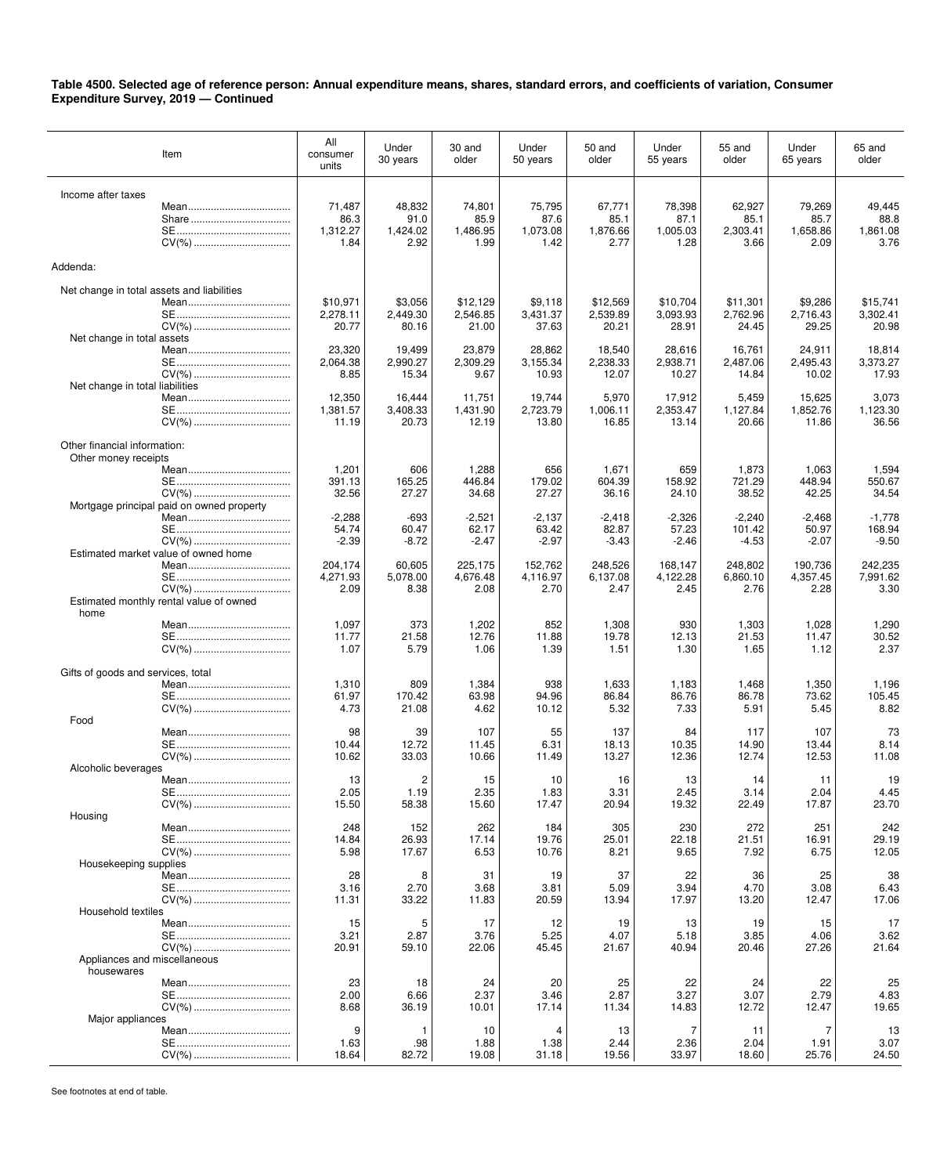| Item                                       | All<br>consumer<br>units | Under<br>30 years  | 30 and<br>older    | Under<br>50 years  | 50 and<br>older    | Under<br>55 years  | 55 and<br>older    | Under<br>65 years  | 65 and<br>older    |
|--------------------------------------------|--------------------------|--------------------|--------------------|--------------------|--------------------|--------------------|--------------------|--------------------|--------------------|
|                                            |                          |                    |                    |                    |                    |                    |                    |                    |                    |
| Income after taxes                         | 71,487                   | 48,832             | 74,801             | 75,795             | 67,771             | 78,398             | 62,927             | 79,269             | 49,445             |
|                                            | 86.3                     | 91.0               | 85.9               | 87.6               | 85.1               | 87.1               | 85.1               | 85.7               | 88.8               |
|                                            | 1,312.27                 | 1,424.02           | 1,486.95           | 1,073.08           | 1,876.66           | 1,005.03           | 2,303.41           | 1.658.86           | 1,861.08           |
|                                            | 1.84                     | 2.92               | 1.99               | 1.42               | 2.77               | 1.28               | 3.66               | 2.09               | 3.76               |
| Addenda:                                   |                          |                    |                    |                    |                    |                    |                    |                    |                    |
|                                            |                          |                    |                    |                    |                    |                    |                    |                    |                    |
| Net change in total assets and liabilities | \$10,971                 | \$3,056            | \$12.129           | \$9,118            | \$12,569           | \$10,704           | \$11,301           | \$9,286            | \$15,741           |
|                                            | 2,278.11                 | 2,449.30           | 2,546.85           | 3,431.37           | 2,539.89           | 3,093.93           | 2,762.96           | 2,716.43           | 3,302.41           |
|                                            | 20.77                    | 80.16              | 21.00              | 37.63              | 20.21              | 28.91              | 24.45              | 29.25              | 20.98              |
| Net change in total assets                 | 23,320                   |                    |                    | 28,862             |                    |                    |                    |                    |                    |
|                                            | 2,064.38                 | 19,499<br>2,990.27 | 23,879<br>2,309.29 | 3,155.34           | 18,540<br>2,238.33 | 28,616<br>2,938.71 | 16,761<br>2,487.06 | 24,911<br>2,495.43 | 18,814<br>3,373.27 |
|                                            | 8.85                     | 15.34              | 9.67               | 10.93              | 12.07              | 10.27              | 14.84              | 10.02              | 17.93              |
| Net change in total liabilities            |                          |                    |                    |                    |                    |                    |                    |                    |                    |
|                                            | 12,350<br>1,381.57       | 16,444<br>3,408.33 | 11,751<br>1,431.90 | 19,744<br>2,723.79 | 5,970<br>1,006.11  | 17,912<br>2,353.47 | 5,459<br>1,127.84  | 15,625<br>1,852.76 | 3,073<br>1,123.30  |
|                                            | 11.19                    | 20.73              | 12.19              | 13.80              | 16.85              | 13.14              | 20.66              | 11.86              | 36.56              |
|                                            |                          |                    |                    |                    |                    |                    |                    |                    |                    |
| Other financial information:               |                          |                    |                    |                    |                    |                    |                    |                    |                    |
| Other money receipts                       | 1,201                    | 606                | 1,288              | 656                | 1,671              | 659                | 1,873              | 1,063              | 1,594              |
|                                            | 391.13                   | 165.25             | 446.84             | 179.02             | 604.39             | 158.92             | 721.29             | 448.94             | 550.67             |
|                                            | 32.56                    | 27.27              | 34.68              | 27.27              | 36.16              | 24.10              | 38.52              | 42.25              | 34.54              |
| Mortgage principal paid on owned property  |                          |                    |                    |                    |                    |                    |                    |                    |                    |
|                                            | $-2,288$<br>54.74        | $-693$<br>60.47    | $-2,521$<br>62.17  | $-2,137$<br>63.42  | $-2,418$<br>82.87  | $-2,326$<br>57.23  | $-2,240$<br>101.42 | $-2,468$<br>50.97  | $-1,778$<br>168.94 |
|                                            | $-2.39$                  | $-8.72$            | $-2.47$            | $-2.97$            | $-3.43$            | $-2.46$            | $-4.53$            | $-2.07$            | $-9.50$            |
| Estimated market value of owned home       |                          |                    |                    |                    |                    |                    |                    |                    |                    |
|                                            | 204,174                  | 60,605             | 225,175            | 152,762            | 248,526            | 168,147            | 248,802            | 190,736            | 242,235            |
|                                            | 4,271.93<br>2.09         | 5,078.00<br>8.38   | 4,676.48<br>2.08   | 4,116.97<br>2.70   | 6,137.08<br>2.47   | 4,122.28<br>2.45   | 6,860.10<br>2.76   | 4,357.45<br>2.28   | 7,991.62<br>3.30   |
| Estimated monthly rental value of owned    |                          |                    |                    |                    |                    |                    |                    |                    |                    |
| home                                       |                          |                    |                    |                    |                    |                    |                    |                    |                    |
|                                            | 1,097                    | 373                | 1,202              | 852                | 1,308              | 930                | 1,303              | 1,028              | 1,290              |
|                                            | 11.77<br>1.07            | 21.58<br>5.79      | 12.76<br>1.06      | 11.88<br>1.39      | 19.78<br>1.51      | 12.13<br>1.30      | 21.53<br>1.65      | 11.47<br>1.12      | 30.52<br>2.37      |
|                                            |                          |                    |                    |                    |                    |                    |                    |                    |                    |
| Gifts of goods and services, total         |                          |                    |                    |                    |                    |                    |                    |                    |                    |
|                                            | 1,310<br>61.97           | 809<br>170.42      | 1,384<br>63.98     | 938<br>94.96       | 1,633<br>86.84     | 1,183<br>86.76     | 1,468<br>86.78     | 1,350<br>73.62     | 1,196<br>105.45    |
|                                            | 4.73                     | 21.08              | 4.62               | 10.12              | 5.32               | 7.33               | 5.91               | 5.45               | 8.82               |
| Food                                       |                          |                    |                    |                    |                    |                    |                    |                    |                    |
|                                            | 98                       | 39                 | 107                | 55                 | 137                | 84                 | 117                | 107                | 73                 |
|                                            | 10.44<br>10.62           | 12.72<br>33.03     | 11.45<br>10.66     | 6.31<br>11.49      | 18.13<br>13.27     | 10.35<br>12.36     | 14.90<br>12.74     | 13.44<br>12.53     | 8.14<br>11.08      |
| Alcoholic beverages                        |                          |                    |                    |                    |                    |                    |                    |                    |                    |
|                                            | 13                       | 2                  | 15                 | 10                 | 16                 | 13                 | 14                 | 11                 | 19                 |
|                                            | 2.05                     | 1.19               | 2.35               | 1.83               | 3.31               | 2.45               | 3.14               | 2.04               | 4.45               |
| Housing                                    | 15.50                    | 58.38              | 15.60              | 17.47              | 20.94              | 19.32              | 22.49              | 17.87              | 23.70              |
|                                            | 248                      | 152                | 262                | 184                | 305                | 230                | 272                | 251                | 242                |
|                                            | 14.84                    | 26.93              | 17.14              | 19.76              | 25.01              | 22.18              | 21.51              | 16.91              | 29.19              |
| Housekeeping supplies                      | 5.98                     | 17.67              | 6.53               | 10.76              | 8.21               | 9.65               | 7.92               | 6.75               | 12.05              |
|                                            | 28                       | 8                  | 31                 | 19                 | 37                 | 22                 | 36                 | 25                 | 38                 |
|                                            | 3.16                     | 2.70               | 3.68               | 3.81               | 5.09               | 3.94               | 4.70               | 3.08               | 6.43               |
|                                            | 11.31                    | 33.22              | 11.83              | 20.59              | 13.94              | 17.97              | 13.20              | 12.47              | 17.06              |
| Household textiles                         | 15                       | 5                  | 17                 | 12                 | 19                 | 13                 | 19                 | 15                 | 17                 |
|                                            | 3.21                     | 2.87               | 3.76               | 5.25               | 4.07               | 5.18               | 3.85               | 4.06               | 3.62               |
| CV(%)                                      | 20.91                    | 59.10              | 22.06              | 45.45              | 21.67              | 40.94              | 20.46              | 27.26              | 21.64              |
| Appliances and miscellaneous               |                          |                    |                    |                    |                    |                    |                    |                    |                    |
| housewares                                 | 23                       | 18                 | 24                 | 20                 | 25                 | 22                 | 24                 | 22                 | 25                 |
|                                            | 2.00                     | 6.66               | 2.37               | 3.46               | 2.87               | 3.27               | 3.07               | 2.79               | 4.83               |
|                                            | 8.68                     | 36.19              | 10.01              | 17.14              | 11.34              | 14.83              | 12.72              | 12.47              | 19.65              |
| Major appliances                           | 9                        | 1                  | 10                 | 4                  | 13                 | 7                  | 11                 | 7                  | 13                 |
|                                            | 1.63                     | .98                | 1.88               | 1.38               | 2.44               | 2.36               | 2.04               | 1.91               | 3.07               |
| CV(%)                                      | 18.64                    | 82.72              | 19.08              | 31.18              | 19.56              | 33.97              | 18.60              | 25.76              | 24.50              |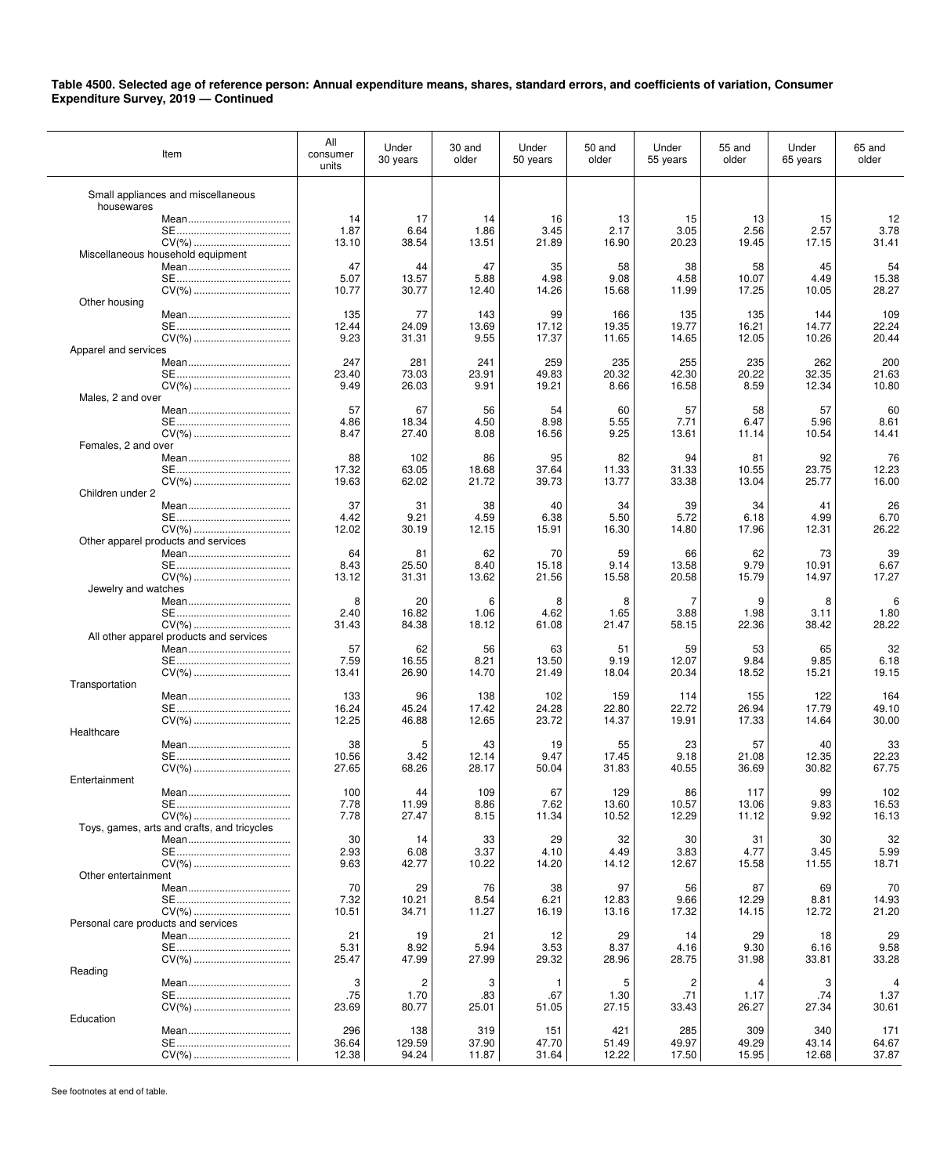| Item                                             | All<br>consumer<br>units | Under<br>30 years | 30 and<br>older | Under<br>50 years | 50 and<br>older | Under<br>55 years | 55 and<br>older | Under<br>65 years | 65 and<br>older |
|--------------------------------------------------|--------------------------|-------------------|-----------------|-------------------|-----------------|-------------------|-----------------|-------------------|-----------------|
| Small appliances and miscellaneous<br>housewares |                          |                   |                 |                   |                 |                   |                 |                   |                 |
|                                                  | 14                       | 17                | 14              | 16                | 13              | 15                | 13              | 15                | 12              |
|                                                  | 1.87                     | 6.64              | 1.86            | 3.45              | 2.17            | 3.05              | 2.56            | 2.57              | 3.78            |
| CV(%)                                            | 13.10                    | 38.54             | 13.51           | 21.89             | 16.90           | 20.23             | 19.45           | 17.15             | 31.41           |
| Miscellaneous household equipment                |                          |                   |                 |                   |                 |                   |                 |                   |                 |
|                                                  | 47                       | 44                | 47              | 35                | 58              | 38                | 58              | 45                | 54              |
|                                                  | 5.07                     | 13.57             | 5.88            | 4.98              | 9.08            | 4.58              | 10.07           | 4.49              | 15.38           |
|                                                  | 10.77                    | 30.77             | 12.40           | 14.26             | 15.68           | 11.99             | 17.25           | 10.05             | 28.27           |
| Other housing                                    |                          |                   |                 |                   |                 |                   |                 |                   |                 |
|                                                  | 135                      | 77                | 143             | 99                | 166             | 135               | 135             | 144               | 109             |
|                                                  | 12.44<br>9.23            | 24.09<br>31.31    | 13.69<br>9.55   | 17.12<br>17.37    | 19.35<br>11.65  | 19.77<br>14.65    | 16.21<br>12.05  | 14.77<br>10.26    | 22.24<br>20.44  |
| Apparel and services                             |                          |                   |                 |                   |                 |                   |                 |                   |                 |
|                                                  | 247                      | 281               | 241             | 259               | 235             | 255               | 235             | 262               | 200             |
|                                                  | 23.40                    | 73.03             | 23.91           | 49.83             | 20.32           | 42.30             | 20.22           | 32.35             | 21.63           |
| CV(%)                                            | 9.49                     | 26.03             | 9.91            | 19.21             | 8.66            | 16.58             | 8.59            | 12.34             | 10.80           |
| Males, 2 and over                                |                          |                   |                 |                   |                 |                   |                 |                   |                 |
|                                                  | 57                       | 67                | 56              | 54                | 60              | 57                | 58              | 57                | 60              |
|                                                  | 4.86                     | 18.34             | 4.50            | 8.98              | 5.55            | 7.71              | 6.47            | 5.96              | 8.61            |
|                                                  | 8.47                     | 27.40             | 8.08            | 16.56             | 9.25            | 13.61             | 11.14           | 10.54             | 14.41           |
| Females, 2 and over                              |                          |                   |                 |                   |                 |                   |                 |                   |                 |
|                                                  | 88                       | 102               | 86              | 95                | 82              | 94                | 81              | 92                | 76              |
|                                                  | 17.32                    | 63.05             | 18.68           | 37.64             | 11.33           | 31.33             | 10.55           | 23.75             | 12.23           |
|                                                  | 19.63                    | 62.02             | 21.72           | 39.73             | 13.77           | 33.38             | 13.04           | 25.77             | 16.00           |
| Children under 2                                 | 37                       |                   |                 |                   |                 |                   |                 |                   |                 |
|                                                  | 4.42                     | 31<br>9.21        | 38<br>4.59      | 40                | 34<br>5.50      | 39<br>5.72        | 34<br>6.18      | 41<br>4.99        | 26<br>6.70      |
|                                                  | 12.02                    | 30.19             | 12.15           | 6.38<br>15.91     | 16.30           | 14.80             | 17.96           | 12.31             | 26.22           |
| Other apparel products and services              |                          |                   |                 |                   |                 |                   |                 |                   |                 |
|                                                  | 64                       | 81                | 62              | 70                | 59              | 66                | 62              | 73                | 39              |
|                                                  | 8.43                     | 25.50             | 8.40            | 15.18             | 9.14            | 13.58             | 9.79            | 10.91             | 6.67            |
|                                                  | 13.12                    | 31.31             | 13.62           | 21.56             | 15.58           | 20.58             | 15.79           | 14.97             | 17.27           |
| Jewelry and watches                              |                          |                   |                 |                   |                 |                   |                 |                   |                 |
|                                                  | 8                        | 20                | 6               | 8                 | 8               | 7                 | 9               | 8                 | 6               |
|                                                  | 2.40                     | 16.82             | 1.06            | 4.62              | 1.65            | 3.88              | 1.98            | 3.11              | 1.80            |
|                                                  | 31.43                    | 84.38             | 18.12           | 61.08             | 21.47           | 58.15             | 22.36           | 38.42             | 28.22           |
| All other apparel products and services          |                          |                   |                 |                   |                 |                   |                 |                   |                 |
|                                                  | 57                       | 62                | 56              | 63                | 51              | 59                | 53              | 65                | 32              |
|                                                  | 7.59                     | 16.55             | 8.21            | 13.50             | 9.19            | 12.07             | 9.84            | 9.85              | 6.18            |
|                                                  | 13.41                    | 26.90             | 14.70           | 21.49             | 18.04           | 20.34             | 18.52           | 15.21             | 19.15           |
| Transportation                                   | 133                      | 96                | 138             | 102               | 159             | 114               | 155             | 122               | 164             |
|                                                  | 16.24                    | 45.24             | 17.42           | 24.28             | 22.80           | 22.72             | 26.94           | 17.79             | 49.10           |
| CV(%)                                            | 12.25                    | 46.88             | 12.65           | 23.72             | 14.37           | 19.91             | 17.33           | 14.64             | 30.00           |
| Healthcare                                       |                          |                   |                 |                   |                 |                   |                 |                   |                 |
|                                                  | 38                       | 5                 | 43              | 19                | 55              | 23                | 57              | 40                | 33              |
|                                                  | 10.56                    | 3.42              | 12.14           | 9.47              | 17.45           | 9.18              | 21.08           | 12.35             | 22.23           |
|                                                  | 27.65                    | 68.26             | 28.17           | 50.04             | 31.83           | 40.55             | 36.69           | 30.82             | 67.75           |
| Entertainment                                    |                          |                   |                 |                   |                 |                   |                 |                   |                 |
|                                                  | 100                      | 44                | 109             | 67                | 129             | 86                | 117             | 99                | 102             |
|                                                  | 7.78                     | 11.99             | 8.86            | 7.62              | 13.60           | 10.57             | 13.06           | 9.83              | 16.53           |
|                                                  | 7.78                     | 27.47             | 8.15            | 11.34             | 10.52           | 12.29             | 11.12           | 9.92              | 16.13           |
| Toys, games, arts and crafts, and tricycles      |                          |                   |                 |                   |                 |                   |                 |                   |                 |
|                                                  | 30                       | 14                | 33              | 29                | 32              | 30                | 31              | 30                | 32              |
|                                                  | 2.93                     | 6.08              | 3.37            | 4.10              | 4.49            | 3.83              | 4.77            | 3.45              | 5.99            |
|                                                  | 9.63                     | 42.77             | 10.22           | 14.20             | 14.12           | 12.67             | 15.58           | 11.55             | 18.71           |
| Other entertainment                              | 70                       | 29                |                 |                   | 97              |                   |                 | 69                |                 |
|                                                  | 7.32                     | 10.21             | 76<br>8.54      | 38<br>6.21        | 12.83           | 56<br>9.66        | 87<br>12.29     | 8.81              | 70<br>14.93     |
|                                                  | 10.51                    | 34.71             | 11.27           | 16.19             | 13.16           | 17.32             | 14.15           | 12.72             | 21.20           |
| Personal care products and services              |                          |                   |                 |                   |                 |                   |                 |                   |                 |
|                                                  | 21                       | 19                | 21              | 12                | 29              | 14                | 29              | 18                | 29              |
|                                                  | 5.31                     | 8.92              | 5.94            | 3.53              | 8.37            | 4.16              | 9.30            | 6.16              | 9.58            |
|                                                  | 25.47                    | 47.99             | 27.99           | 29.32             | 28.96           | 28.75             | 31.98           | 33.81             | 33.28           |
| Reading                                          |                          |                   |                 |                   |                 |                   |                 |                   |                 |
|                                                  | 3                        | 2                 | 3               | -1                | 5               | 2                 | 4               | 3                 | $\overline{4}$  |
|                                                  | .75                      | 1.70              | .83             | .67               | 1.30            | .71               | 1.17            | .74               | 1.37            |
|                                                  | 23.69                    | 80.77             | 25.01           | 51.05             | 27.15           | 33.43             | 26.27           | 27.34             | 30.61           |
| Education                                        |                          |                   |                 |                   |                 |                   |                 |                   |                 |
|                                                  | 296                      | 138               | 319             | 151               | 421             | 285               | 309             | 340               | 171             |
|                                                  | 36.64                    | 129.59            | 37.90           | 47.70             | 51.49           | 49.97             | 49.29           | 43.14             | 64.67           |
|                                                  | 12.38                    | 94.24             | 11.87           | 31.64             | 12.22           | 17.50             | 15.95           | 12.68             | 37.87           |